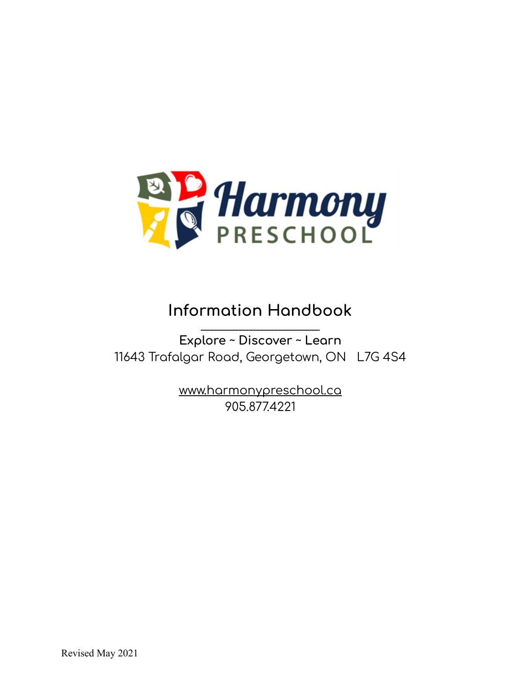

# **Information Handbook**

**\_\_\_\_\_\_\_\_\_\_\_\_\_\_\_\_\_\_\_\_\_\_\_\_\_\_\_\_\_\_\_\_\_ Explore ~ Discover ~ Learn** 11643 Trafalgar Road, Georgetown, ON L7G 4S4

> [www.harmonypreschool.ca](http://www.harmonypreschool.ca) 905.877.4221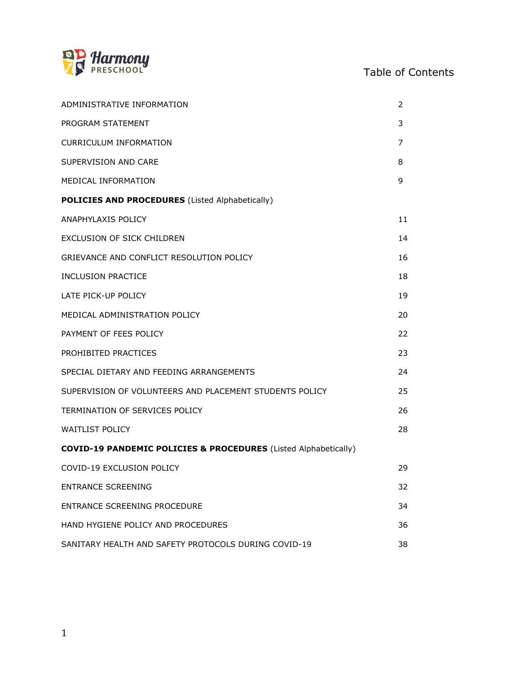

# Table of Contents

| ADMINISTRATIVE INFORMATION                                                 | 2  |
|----------------------------------------------------------------------------|----|
| PROGRAM STATEMENT                                                          | 3  |
| <b>CURRICULUM INFORMATION</b>                                              | 7  |
| SUPERVISION AND CARE                                                       | 8  |
| MEDICAL INFORMATION                                                        | 9  |
| <b>POLICIES AND PROCEDURES</b> (Listed Alphabetically)                     |    |
| ANAPHYLAXIS POLICY                                                         | 11 |
| EXCLUSION OF SICK CHILDREN                                                 | 14 |
| GRIEVANCE AND CONFLICT RESOLUTION POLICY                                   | 16 |
| <b>INCLUSION PRACTICE</b>                                                  | 18 |
| LATE PICK-UP POLICY                                                        | 19 |
| MEDICAL ADMINISTRATION POLICY                                              | 20 |
| PAYMENT OF FEES POLICY                                                     | 22 |
| PROHIBITED PRACTICES                                                       | 23 |
| SPECIAL DIETARY AND FEEDING ARRANGEMENTS                                   | 24 |
| SUPERVISION OF VOLUNTEERS AND PLACEMENT STUDENTS POLICY                    | 25 |
| TERMINATION OF SERVICES POLICY                                             | 26 |
| <b>WAITLIST POLICY</b>                                                     | 28 |
| <b>COVID-19 PANDEMIC POLICIES &amp; PROCEDURES</b> (Listed Alphabetically) |    |
| COVID-19 EXCLUSION POLICY                                                  | 29 |
| <b>ENTRANCE SCREENING</b>                                                  | 32 |
| ENTRANCE SCREENING PROCEDURE                                               | 34 |
| HAND HYGIENE POLICY AND PROCEDURES                                         | 36 |
| SANITARY HEALTH AND SAFETY PROTOCOLS DURING COVID-19                       | 38 |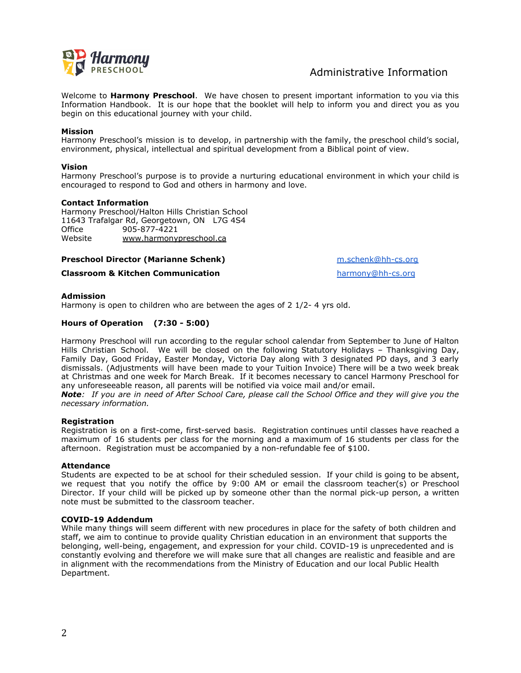

# Administrative Information

Welcome to **Harmony Preschool**. We have chosen to present important information to you via this Information Handbook. It is our hope that the booklet will help to inform you and direct you as you begin on this educational journey with your child.

#### **Mission**

Harmony Preschool's mission is to develop, in partnership with the family, the preschool child's social, environment, physical, intellectual and spiritual development from a Biblical point of view.

#### **Vision**

Harmony Preschool's purpose is to provide a nurturing educational environment in which your child is encouraged to respond to God and others in harmony and love.

#### **Contact Information**

Harmony Preschool/Halton Hills Christian School 11643 Trafalgar Rd, Georgetown, ON L7G 4S4 Office 905-877-4221 Website [www.harmonypreschool.ca](http://www.harmonypreschool.ca)

#### **Preschool Director (Marianne Schenk)** [m.schenk@hh-cs.org](mailto:m.schenk@hh-cs.org)

#### **Classroom & Kitchen Communication [harmony@hh-cs.org](mailto:harmony@hh-cs.org)** harmony@hh-cs.org

#### **Admission**

Harmony is open to children who are between the ages of 2 1/2- 4 yrs old.

## **Hours of Operation (7:30 - 5:00)**

Harmony Preschool will run according to the regular school calendar from September to June of Halton Hills Christian School. We will be closed on the following Statutory Holidays – Thanksgiving Day, Family Day, Good Friday, Easter Monday, Victoria Day along with 3 designated PD days, and 3 early dismissals. (Adjustments will have been made to your Tuition Invoice) There will be a two week break at Christmas and one week for March Break. If it becomes necessary to cancel Harmony Preschool for any unforeseeable reason, all parents will be notified via voice mail and/or email.

**Note:** If you are in need of After School Care, please call the School Office and they will give you the *necessary information.*

#### **Registration**

Registration is on a first-come, first-served basis. Registration continues until classes have reached a maximum of 16 students per class for the morning and a maximum of 16 students per class for the afternoon. Registration must be accompanied by a non-refundable fee of \$100.

#### **Attendance**

Students are expected to be at school for their scheduled session. If your child is going to be absent, we request that you notify the office by 9:00 AM or email the classroom teacher(s) or Preschool Director. If your child will be picked up by someone other than the normal pick-up person, a written note must be submitted to the classroom teacher.

#### **COVID-19 Addendum**

While many things will seem different with new procedures in place for the safety of both children and staff, we aim to continue to provide quality Christian education in an environment that supports the belonging, well-being, engagement, and expression for your child. COVID-19 is unprecedented and is constantly evolving and therefore we will make sure that all changes are realistic and feasible and are in alignment with the recommendations from the Ministry of Education and our local Public Health Department.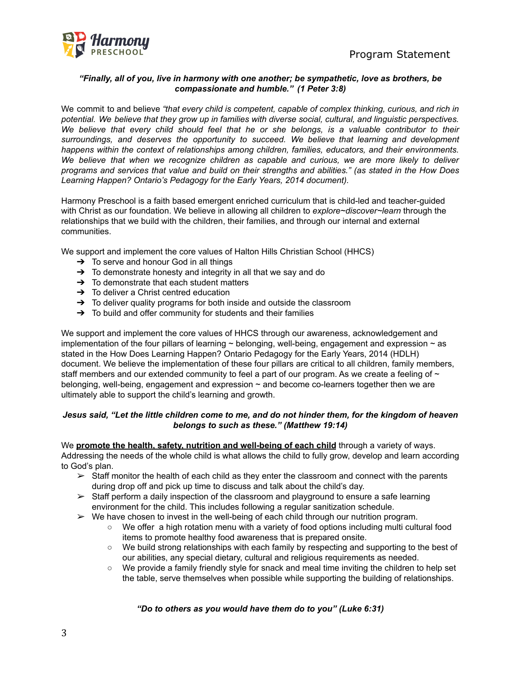Program Statement



## *"Finally, all of you, live in harmony with one another; be sympathetic, love as brothers, be compassionate and humble." (1 Peter 3:8)*

We commit to and believe *"that every child is competent, capable of complex thinking, curious, and rich in potential. We believe that they grow up in families with diverse social, cultural, and linguistic perspectives. We believe that every child should feel that he or she belongs, is a valuable contributor to their surroundings, and deserves the opportunity to succeed. We believe that learning and development happens within the context of relationships among children, families, educators, and their environments. We believe that when we recognize children as capable and curious, we are more likely to deliver* programs and services that value and build on their strengths and abilities." (as stated in the How Does *Learning Happen? Ontario's Pedagogy for the Early Years, 2014 document).*

Harmony Preschool is a faith based emergent enriched curriculum that is child-led and teacher-guided with Christ as our foundation. We believe in allowing all children to *explore~discover~learn* through the relationships that we build with the children, their families, and through our internal and external communities.

We support and implement the core values of Halton Hills Christian School (HHCS)

- $\rightarrow$  To serve and honour God in all things
- $\rightarrow$  To demonstrate honesty and integrity in all that we say and do
- $\rightarrow$  To demonstrate that each student matters
- $\rightarrow$  To deliver a Christ centred education
- $\rightarrow$  To deliver quality programs for both inside and outside the classroom
- ➔ To build and offer community for students and their families

We support and implement the core values of HHCS through our awareness, acknowledgement and implementation of the four pillars of learning  $\sim$  belonging, well-being, engagement and expression  $\sim$  as stated in the How Does Learning Happen? Ontario Pedagogy for the Early Years, 2014 (HDLH) document. We believe the implementation of these four pillars are critical to all children, family members, staff members and our extended community to feel a part of our program. As we create a feeling of  $\sim$ belonging, well-being, engagement and expression  $\sim$  and become co-learners together then we are ultimately able to support the child's learning and growth.

## Jesus said, "Let the little children come to me, and do not hinder them, for the kingdom of heaven *belongs to such as these." (Matthew 19:14)*

We **promote the health, safety, nutrition and well-being of each child** through a variety of ways. Addressing the needs of the whole child is what allows the child to fully grow, develop and learn according to God's plan.

- $\triangleright$  Staff monitor the health of each child as they enter the classroom and connect with the parents during drop off and pick up time to discuss and talk about the child's day.
- $\triangleright$  Staff perform a daily inspection of the classroom and playground to ensure a safe learning environment for the child. This includes following a regular sanitization schedule.
- $\triangleright$  We have chosen to invest in the well-being of each child through our nutrition program.
	- We offer a high rotation menu with a variety of food options including multi cultural food items to promote healthy food awareness that is prepared onsite.
	- We build strong relationships with each family by respecting and supporting to the best of our abilities, any special dietary, cultural and religious requirements as needed.
	- We provide a family friendly style for snack and meal time inviting the children to help set the table, serve themselves when possible while supporting the building of relationships.

*"Do to others as you would have them do to you" (Luke 6:31)*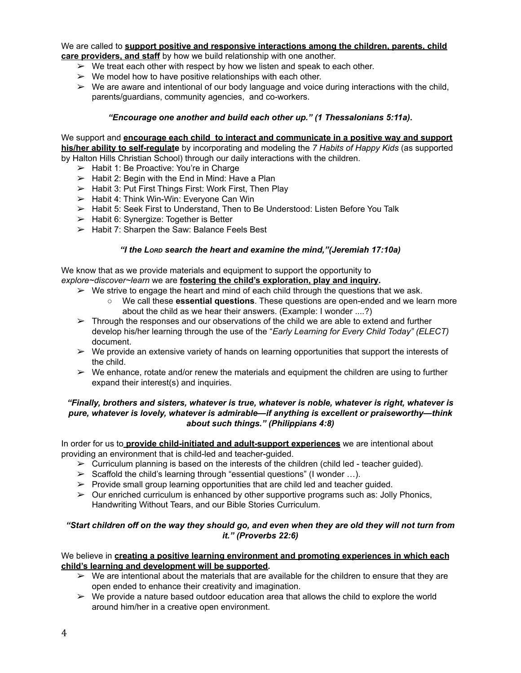We are called to **support positive and responsive interactions among the children, parents, child care providers, and staff** by how we build relationship with one another.

- $\triangleright$  We treat each other with respect by how we listen and speak to each other.
- $\triangleright$  We model how to have positive relationships with each other.
- $\triangleright$  We are aware and intentional of our body language and voice during interactions with the child, parents/guardians, community agencies, and co-workers.

## *"Encourage one another and build each other up." (1 Thessalonians 5:11a)***.**

We support and **encourage each child to interact and communicate in a positive way and support his/her ability to self-regulate** by incorporating and modeling the *7 Habits of Happy Kids* (as supported by Halton Hills Christian School) through our daily interactions with the children.

- $\blacktriangleright$  Habit 1: Be Proactive: You're in Charge
- $\geq$  Habit 2: Begin with the End in Mind: Have a Plan
- ➢ Habit 3: Put First Things First: Work First, Then Play
- $\triangleright$  Habit 4: Think Win-Win: Everyone Can Win
- $\triangleright$  Habit 5: Seek First to Understand, Then to Be Understood: Listen Before You Talk
- ➢ Habit 6: Synergize: Together is Better
- ➢ Habit 7: Sharpen the Saw: Balance Feels Best

#### *"I the LORD search the heart and examine the mind,"(Jeremiah 17:10a)*

We know that as we provide materials and equipment to support the opportunity to *explore~discover~learn* we are **fostering the child's exploration, play and inquiry.**

- $\triangleright$  We strive to engage the heart and mind of each child through the questions that we ask.
	- We call these **essential questions**. These questions are open-ended and we learn more about the child as we hear their answers. (Example: I wonder ....?)
- $\triangleright$  Through the responses and our observations of the child we are able to extend and further develop his/her learning through the use of the "*Early Learning for Every Child Today" (ELECT)* document.
- $\triangleright$  We provide an extensive variety of hands on learning opportunities that support the interests of the child.
- $\triangleright$  We enhance, rotate and/or renew the materials and equipment the children are using to further expand their interest(s) and inquiries.

## *"Finally, brothers and sisters, whatever is true, whatever is noble, whatever is right, whatever is pure, whatever is lovely, whatever is admirable—if anything is excellent or praiseworthy—think about such things." (Philippians 4:8)*

In order for us to **provide child-initiated and adult-support experiences** we are intentional about providing an environment that is child-led and teacher-guided.

- $\triangleright$  Curriculum planning is based on the interests of the children (child led teacher quided).
- $\triangleright$  Scaffold the child's learning through "essential questions" (I wonder ...).
- $\triangleright$  Provide small group learning opportunities that are child led and teacher guided.
- $\triangleright$  Our enriched curriculum is enhanced by other supportive programs such as: Jolly Phonics, Handwriting Without Tears, and our Bible Stories Curriculum.

## "Start children off on the way they should go, and even when they are old they will not turn from *it." (Proverbs 22:6)*

## We believe in **creating a positive learning environment and promoting experiences in which each child's learning and development will be supported.**

- $\triangleright$  We are intentional about the materials that are available for the children to ensure that they are open ended to enhance their creativity and imagination.
- $\triangleright$  We provide a nature based outdoor education area that allows the child to explore the world around him/her in a creative open environment.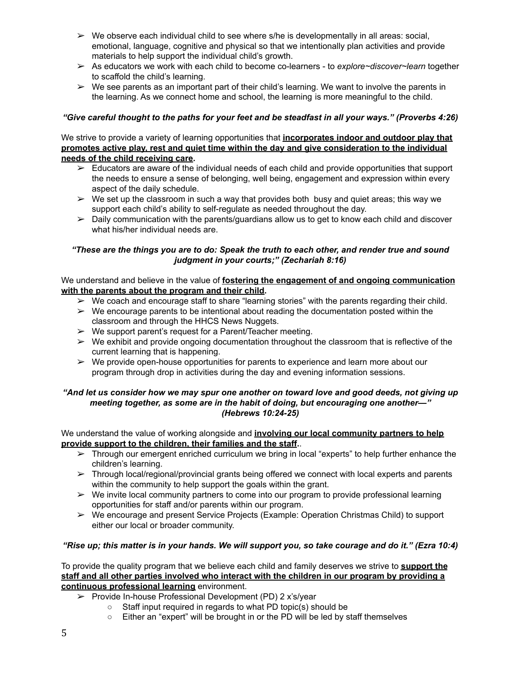- $\triangleright$  We observe each individual child to see where s/he is developmentally in all areas: social, emotional, language, cognitive and physical so that we intentionally plan activities and provide materials to help support the individual child's growth.
- ➢ As educators we work with each child to become co-learners to *explore~discover~learn* together to scaffold the child's learning.
- $\triangleright$  We see parents as an important part of their child's learning. We want to involve the parents in the learning. As we connect home and school, the learning is more meaningful to the child.

## "Give careful thought to the paths for your feet and be steadfast in all your ways." (Proverbs 4:26)

## We strive to provide a variety of learning opportunities that **incorporates indoor and outdoor play that promotes active play, rest and quiet time within the day and give consideration to the individual needs of the child receiving care.**

- $\triangleright$  Educators are aware of the individual needs of each child and provide opportunities that support the needs to ensure a sense of belonging, well being, engagement and expression within every aspect of the daily schedule.
- $\triangleright$  We set up the classroom in such a way that provides both busy and quiet areas; this way we support each child's ability to self-regulate as needed throughout the day.
- $\triangleright$  Daily communication with the parents/guardians allow us to get to know each child and discover what his/her individual needs are.

## "These are the things you are to do: Speak the truth to each other, and render true and sound *judgment in your courts;" (Zechariah 8:16)*

## We understand and believe in the value of **fostering the engagement of and ongoing communication with the parents about the program and their child.**

- $\triangleright$  We coach and encourage staff to share "learning stories" with the parents regarding their child.
- $\triangleright$  We encourage parents to be intentional about reading the documentation posted within the classroom and through the HHCS News Nuggets.
- $\triangleright$  We support parent's request for a Parent/Teacher meeting.
- $\triangleright$  We exhibit and provide ongoing documentation throughout the classroom that is reflective of the current learning that is happening.
- $\triangleright$  We provide open-house opportunities for parents to experience and learn more about our program through drop in activities during the day and evening information sessions.

## "And let us consider how we may spur one another on toward love and good deeds, not giving up *meeting together, as some are in the habit of doing, but encouraging one another—" (Hebrews 10:24-25)*

## We understand the value of working alongside and **involving our local community partners to help provide support to the children, their families and the staff.**.

- $\triangleright$  Through our emergent enriched curriculum we bring in local "experts" to help further enhance the children's learning.
- $\triangleright$  Through local/regional/provincial grants being offered we connect with local experts and parents within the community to help support the goals within the grant.
- $\triangleright$  We invite local community partners to come into our program to provide professional learning opportunities for staff and/or parents within our program.
- ➢ We encourage and present Service Projects (Example: Operation Christmas Child) to support either our local or broader community.

## "Rise up; this matter is in your hands. We will support you, so take courage and do it." (Ezra 10:4)

To provide the quality program that we believe each child and family deserves we strive to **support the staff and all other parties involved who interact with the children in our program by providing a continuous professional learning** environment.

- ➢ Provide In-house Professional Development (PD) 2 x's/year
	- Staff input required in regards to what PD topic(s) should be
	- Either an "expert" will be brought in or the PD will be led by staff themselves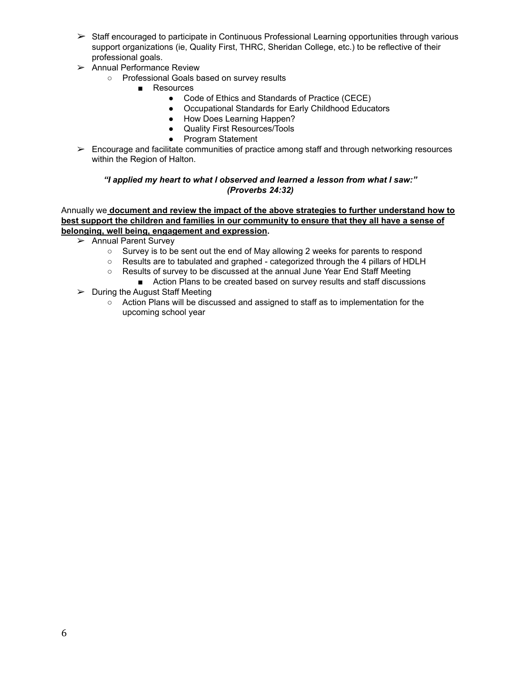- ➢ Staff encouraged to participate in Continuous Professional Learning opportunities through various support organizations (ie, Quality First, THRC, Sheridan College, etc.) to be reflective of their professional goals.
- $\geq$  Annual Performance Review
	- Professional Goals based on survey results
		- Resources
			- Code of Ethics and Standards of Practice (CECE)
			- Occupational Standards for Early Childhood Educators
			- How Does Learning Happen?
			- Quality First Resources/Tools
			- Program Statement
- ➢ Encourage and facilitate communities of practice among staff and through networking resources within the Region of Halton.

## *"I applied my heart to what I observed and learned a lesson from what I saw:" (Proverbs 24:32)*

## Annually we **document and review the impact of the above strategies to further understand how to best support the children and families in our community to ensure that they all have a sense of belonging, well being, engagement and expression.**

- ➢ Annual Parent Survey
	- Survey is to be sent out the end of May allowing 2 weeks for parents to respond
	- Results are to tabulated and graphed categorized through the 4 pillars of HDLH
	- Results of survey to be discussed at the annual June Year End Staff Meeting
		- Action Plans to be created based on survey results and staff discussions
- $\triangleright$  During the August Staff Meeting
	- Action Plans will be discussed and assigned to staff as to implementation for the upcoming school year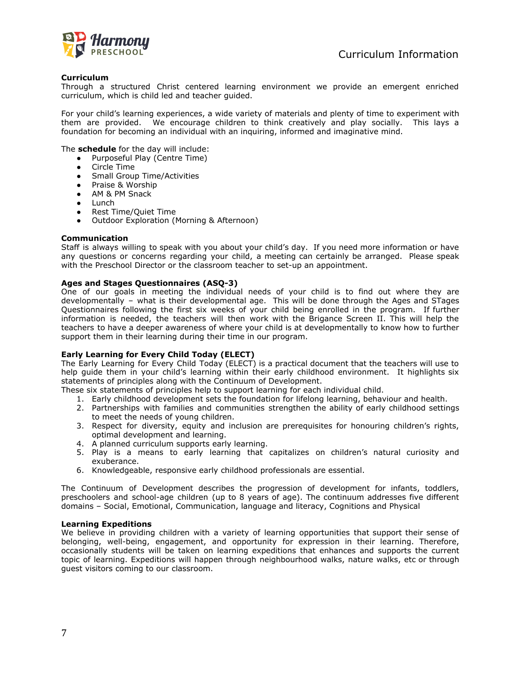

#### **Curriculum**

Through a structured Christ centered learning environment we provide an emergent enriched curriculum, which is child led and teacher guided.

For your child's learning experiences, a wide variety of materials and plenty of time to experiment with them are provided. We encourage children to think creatively and play socially. This lays a foundation for becoming an individual with an inquiring, informed and imaginative mind.

The **schedule** for the day will include:

- Purposeful Play (Centre Time)
- Circle Time
- Small Group Time/Activities
- Praise & Worship
- AM & PM Snack
- Lunch
- Rest Time/Quiet Time
- Outdoor Exploration (Morning & Afternoon)

#### **Communication**

Staff is always willing to speak with you about your child's day. If you need more information or have any questions or concerns regarding your child, a meeting can certainly be arranged. Please speak with the Preschool Director or the classroom teacher to set-up an appointment.

#### **Ages and Stages Questionnaires (ASQ-3)**

One of our goals in meeting the individual needs of your child is to find out where they are developmentally – what is their developmental age. This will be done through the Ages and STages Questionnaires following the first six weeks of your child being enrolled in the program. If further information is needed, the teachers will then work with the Brigance Screen II. This will help the teachers to have a deeper awareness of where your child is at developmentally to know how to further support them in their learning during their time in our program.

#### **Early Learning for Every Child Today (ELECT)**

The Early Learning for Every Child Today (ELECT) is a practical document that the teachers will use to help guide them in your child's learning within their early childhood environment. It highlights six statements of principles along with the Continuum of Development.

These six statements of principles help to support learning for each individual child.

- 1. Early childhood development sets the foundation for lifelong learning, behaviour and health.
- 2. Partnerships with families and communities strengthen the ability of early childhood settings to meet the needs of young children.
- 3. Respect for diversity, equity and inclusion are prerequisites for honouring children's rights, optimal development and learning.
- 4. A planned curriculum supports early learning.
- 5. Play is a means to early learning that capitalizes on children's natural curiosity and exuberance.
- 6. Knowledgeable, responsive early childhood professionals are essential.

The Continuum of Development describes the progression of development for infants, toddlers, preschoolers and school-age children (up to 8 years of age). The continuum addresses five different domains – Social, Emotional, Communication, language and literacy, Cognitions and Physical

#### **Learning Expeditions**

We believe in providing children with a variety of learning opportunities that support their sense of belonging, well-being, engagement, and opportunity for expression in their learning. Therefore, occasionally students will be taken on learning expeditions that enhances and supports the current topic of learning. Expeditions will happen through neighbourhood walks, nature walks, etc or through guest visitors coming to our classroom.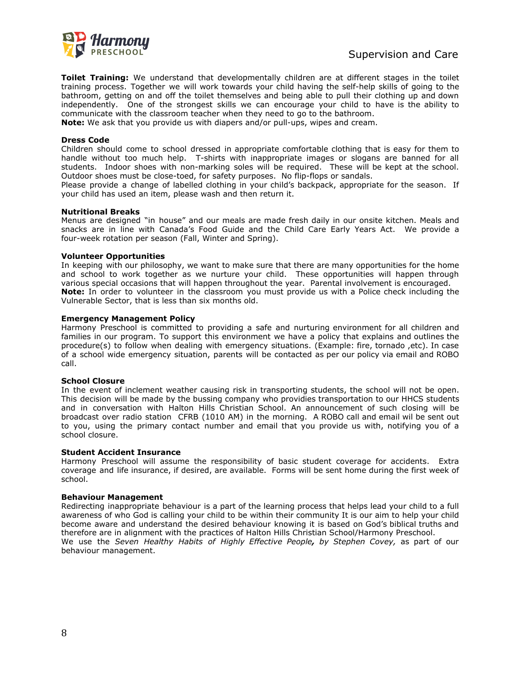

**Toilet Training:** We understand that developmentally children are at different stages in the toilet training process. Together we will work towards your child having the self-help skills of going to the bathroom, getting on and off the toilet themselves and being able to pull their clothing up and down independently. One of the strongest skills we can encourage your child to have is the ability to communicate with the classroom teacher when they need to go to the bathroom.

**Note:** We ask that you provide us with diapers and/or pull-ups, wipes and cream.

#### **Dress Code**

Children should come to school dressed in appropriate comfortable clothing that is easy for them to handle without too much help. T-shirts with inappropriate images or slogans are banned for all students. Indoor shoes with non-marking soles will be required. These will be kept at the school. Outdoor shoes must be close-toed, for safety purposes. No flip-flops or sandals.

Please provide a change of labelled clothing in your child's backpack, appropriate for the season. If your child has used an item, please wash and then return it.

#### **Nutritional Breaks**

Menus are designed "in house" and our meals are made fresh daily in our onsite kitchen. Meals and snacks are in line with Canada's Food Guide and the Child Care Early Years Act. We provide a four-week rotation per season (Fall, Winter and Spring).

#### **Volunteer Opportunities**

In keeping with our philosophy, we want to make sure that there are many opportunities for the home and school to work together as we nurture your child. These opportunities will happen through various special occasions that will happen throughout the year. Parental involvement is encouraged. **Note:** In order to volunteer in the classroom you must provide us with a Police check including the Vulnerable Sector, that is less than six months old.

#### **Emergency Management Policy**

Harmony Preschool is committed to providing a safe and nurturing environment for all children and families in our program. To support this environment we have a policy that explains and outlines the procedure(s) to follow when dealing with emergency situations. (Example: fire, tornado ,etc). In case of a school wide emergency situation, parents will be contacted as per our policy via email and ROBO call.

#### **School Closure**

In the event of inclement weather causing risk in transporting students, the school will not be open. This decision will be made by the bussing company who providies transportation to our HHCS students and in conversation with Halton Hills Christian School. An announcement of such closing will be broadcast over radio station CFRB (1010 AM) in the morning. A ROBO call and email wil be sent out to you, using the primary contact number and email that you provide us with, notifying you of a school closure.

#### **Student Accident Insurance**

Harmony Preschool will assume the responsibility of basic student coverage for accidents. Extra coverage and life insurance, if desired, are available. Forms will be sent home during the first week of school.

#### **Behaviour Management**

Redirecting inappropriate behaviour is a part of the learning process that helps lead your child to a full awareness of who God is calling your child to be within their community It is our aim to help your child become aware and understand the desired behaviour knowing it is based on God's biblical truths and therefore are in alignment with the practices of Halton Hills Christian School/Harmony Preschool. We use the *Seven Healthy Habits of Highly Effective People, by Stephen Covey,* as part of our behaviour management.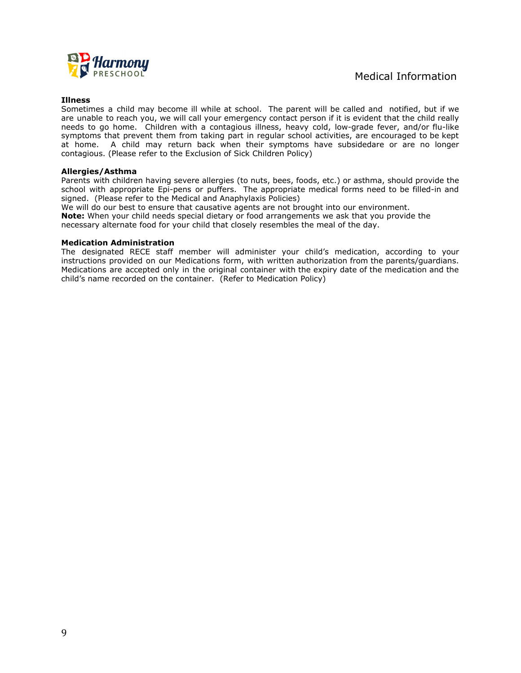

#### **Illness**

Sometimes a child may become ill while at school. The parent will be called and notified, but if we are unable to reach you, we will call your emergency contact person if it is evident that the child really needs to go home. Children with a contagious illness, heavy cold, low-grade fever, and/or flu-like symptoms that prevent them from taking part in regular school activities, are encouraged to be kept at home. A child may return back when their symptoms have subsidedare or are no longer contagious. (Please refer to the Exclusion of Sick Children Policy)

#### **Allergies/Asthma**

Parents with children having severe allergies (to nuts, bees, foods, etc.) or asthma, should provide the school with appropriate Epi-pens or puffers. The appropriate medical forms need to be filled-in and signed. (Please refer to the Medical and Anaphylaxis Policies)

We will do our best to ensure that causative agents are not brought into our environment. **Note:** When your child needs special dietary or food arrangements we ask that you provide the necessary alternate food for your child that closely resembles the meal of the day.

#### **Medication Administration**

The designated RECE staff member will administer your child's medication, according to your instructions provided on our Medications form, with written authorization from the parents/guardians. Medications are accepted only in the original container with the expiry date of the medication and the child's name recorded on the container. (Refer to Medication Policy)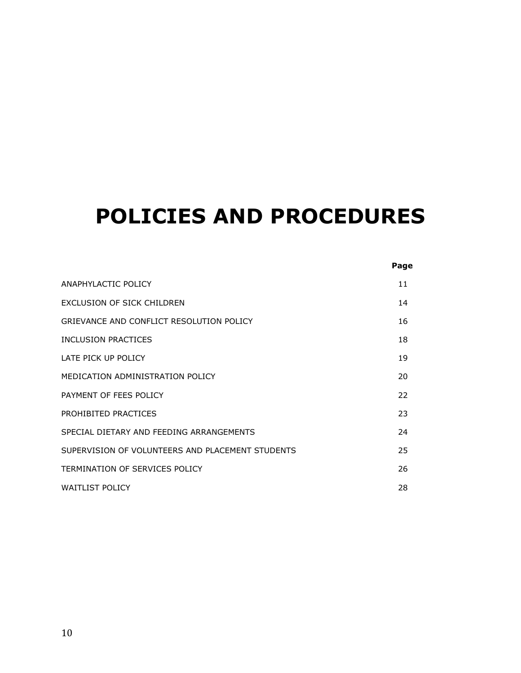# **POLICIES AND PROCEDURES**

|                                                  | Page |
|--------------------------------------------------|------|
| ANAPHYLACTIC POLICY                              | 11   |
| EXCLUSION OF SICK CHILDREN                       | 14   |
| GRIEVANCE AND CONFLICT RESOLUTION POLICY         | 16   |
| INCLUSION PRACTICES                              | 18   |
| LATE PICK UP POLICY                              | 19   |
| MEDICATION ADMINISTRATION POLICY                 | 20   |
| PAYMENT OF FEES POLICY                           | 22   |
| PROHIBITED PRACTICES                             | 23   |
| SPECIAL DIFTARY AND FEEDING ARRANGEMENTS         | 24   |
| SUPERVISION OF VOLUNTEERS AND PLACEMENT STUDENTS | 25   |
| TERMINATION OF SERVICES POLICY                   | 26   |
| <b>WAITLIST POLICY</b>                           | 28   |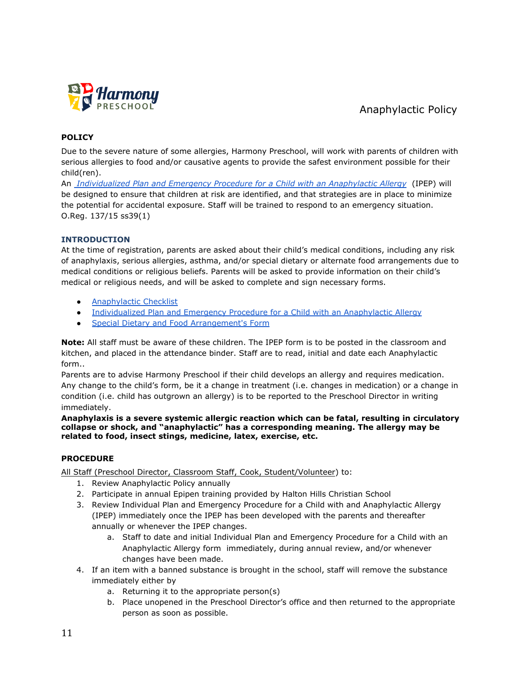

# Anaphylactic Policy

## **POLICY**

Due to the severe nature of some allergies, Harmony Preschool, will work with parents of children with serious allergies to food and/or causative agents to provide the safest environment possible for their child(ren).

An *[Individualized Plan and Emergency Procedure for](https://doc-0k-a4-apps-viewer.googleusercontent.com/viewer/secure/pdf/dfsa0e26nfe9lihrbdm8bvuqqtef3mlc/i87kb82019gq9e6g2t40kivu17mmt15k/1547137575000/drive/08829927604218005601/ACFrOgB6fI15Dy46dzu67Pro8s7LmQ2U2SeWskEKsWfVkoHxkoU-W5FCKsLYUTf524sYzbzjdMwTh_AgzOWsQGeyjycx7J1QxZ0JcwrBcAHveUYXC-2D_lGBjJjiOlg=?print=true&nonce=enfrl7mh593m0&user=08829927604218005601&hash=s1bhobkut1tctak1r38m19uh1p0tergs) a Child with an Anaphylactic Allergy* (IPEP) will be designed to ensure that children at risk are identified, and that strategies are in place to minimize the potential for accidental exposure. Staff will be trained to respond to an emergency situation. O.Reg. 137/15 ss39(1)

## **INTRODUCTION**

At the time of registration, parents are asked about their child's medical conditions, including any risk of anaphylaxis, serious allergies, asthma, and/or special dietary or alternate food arrangements due to medical conditions or religious beliefs. Parents will be asked to provide information on their child's medical or religious needs, and will be asked to complete and sign necessary forms.

- [Anaphylactic Checklist](https://docs.google.com/document/d/13pNoOBVMqGf6-pCK9xwlDSMq9MkJx9rXKIsj2ukUyZQ/edit#)
- [Individualized Plan and Emergency Procedure for a](https://docs.google.com/document/d/10uvbdDuutW0d4-sU8hHaZ71C4FD7_liq2vIdgrVNOOQ/edit) Child with an Anaphylactic Allergy
- **[Special Dietary and Food Arrangement's Form](https://docs.google.com/document/d/1V52gK_PvGpLVgg-xdu6bsfsl_k2XimiNcU6j6M51VvQ/edit)**

**Note:** All staff must be aware of these children. The IPEP form is to be posted in the classroom and kitchen, and placed in the attendance binder. Staff are to read, initial and date each Anaphylactic form..

Parents are to advise Harmony Preschool if their child develops an allergy and requires medication. Any change to the child's form, be it a change in treatment (i.e. changes in medication) or a change in condition (i.e. child has outgrown an allergy) is to be reported to the Preschool Director in writing immediately.

**Anaphylaxis is a severe systemic allergic reaction which can be fatal, resulting in circulatory collapse or shock, and "anaphylactic" has a corresponding meaning. The allergy may be related to food, insect stings, medicine, latex, exercise, etc.**

#### **PROCEDURE**

All Staff (Preschool Director, Classroom Staff, Cook, Student/Volunteer) to:

- 1. Review Anaphylactic Policy annually
- 2. Participate in annual Epipen training provided by Halton Hills Christian School
- 3. Review Individual Plan and Emergency Procedure for a Child with and Anaphylactic Allergy (IPEP) immediately once the IPEP has been developed with the parents and thereafter annually or whenever the IPEP changes.
	- a. Staff to date and initial Individual Plan and Emergency Procedure for a Child with an Anaphylactic Allergy form immediately, during annual review, and/or whenever changes have been made.
- 4. If an item with a banned substance is brought in the school, staff will remove the substance immediately either by
	- a. Returning it to the appropriate person(s)
	- b. Place unopened in the Preschool Director's office and then returned to the appropriate person as soon as possible.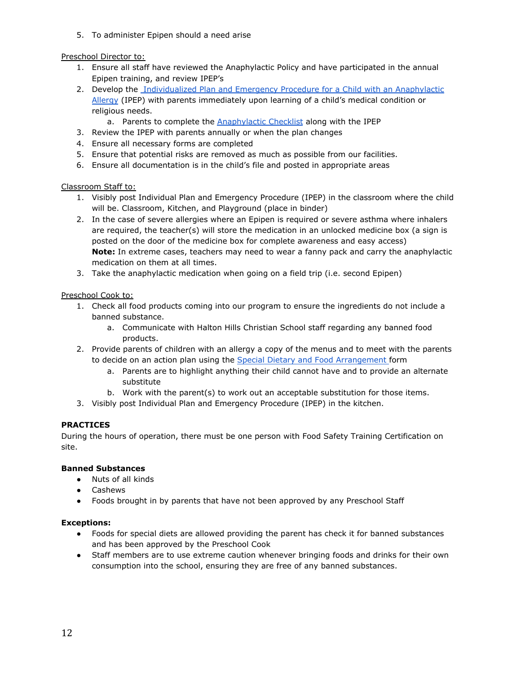5. To administer Epipen should a need arise

## Preschool Director to:

- 1. Ensure all staff have reviewed the Anaphylactic Policy and have participated in the annual Epipen training, and review IPEP's
- 2. Develop the [Individualized Plan and Emergency Procedure](https://doc-0k-a4-apps-viewer.googleusercontent.com/viewer/secure/pdf/dfsa0e26nfe9lihrbdm8bvuqqtef3mlc/i87kb82019gq9e6g2t40kivu17mmt15k/1547137575000/drive/08829927604218005601/ACFrOgB6fI15Dy46dzu67Pro8s7LmQ2U2SeWskEKsWfVkoHxkoU-W5FCKsLYUTf524sYzbzjdMwTh_AgzOWsQGeyjycx7J1QxZ0JcwrBcAHveUYXC-2D_lGBjJjiOlg=?print=true&nonce=enfrl7mh593m0&user=08829927604218005601&hash=s1bhobkut1tctak1r38m19uh1p0tergs) for a Child with an Anaphylactic [Allergy](https://doc-0k-a4-apps-viewer.googleusercontent.com/viewer/secure/pdf/dfsa0e26nfe9lihrbdm8bvuqqtef3mlc/i87kb82019gq9e6g2t40kivu17mmt15k/1547137575000/drive/08829927604218005601/ACFrOgB6fI15Dy46dzu67Pro8s7LmQ2U2SeWskEKsWfVkoHxkoU-W5FCKsLYUTf524sYzbzjdMwTh_AgzOWsQGeyjycx7J1QxZ0JcwrBcAHveUYXC-2D_lGBjJjiOlg=?print=true&nonce=enfrl7mh593m0&user=08829927604218005601&hash=s1bhobkut1tctak1r38m19uh1p0tergs) (IPEP) with parents immediately upon learning of a child's medical condition or religious needs.
	- a. Parents to complete the **[Anaphylactic Checklist](https://docs.google.com/document/d/13pNoOBVMqGf6-pCK9xwlDSMq9MkJx9rXKIsj2ukUyZQ/edit#)** along with the IPEP
- 3. Review the IPEP with parents annually or when the plan changes
- 4. Ensure all necessary forms are completed
- 5. Ensure that potential risks are removed as much as possible from our facilities.
- 6. Ensure all documentation is in the child's file and posted in appropriate areas

#### Classroom Staff to:

- 1. Visibly post Individual Plan and Emergency Procedure (IPEP) in the classroom where the child will be. Classroom, Kitchen, and Playground (place in binder)
- 2. In the case of severe allergies where an Epipen is required or severe asthma where inhalers are required, the teacher(s) will store the medication in an unlocked medicine box (a sign is posted on the door of the medicine box for complete awareness and easy access) **Note:** In extreme cases, teachers may need to wear a fanny pack and carry the anaphylactic medication on them at all times.
- 3. Take the anaphylactic medication when going on a field trip (i.e. second Epipen)

Preschool Cook to:

- 1. Check all food products coming into our program to ensure the ingredients do not include a banned substance.
	- a. Communicate with Halton Hills Christian School staff regarding any banned food products.
- 2. Provide parents of children with an allergy a copy of the menus and to meet with the parents to decide on an action plan using the Special Dietary [and Food Arrangement](https://docs.google.com/document/d/1V52gK_PvGpLVgg-xdu6bsfsl_k2XimiNcU6j6M51VvQ/edit) form
	- a. Parents are to highlight anything their child cannot have and to provide an alternate substitute
	- b. Work with the parent(s) to work out an acceptable substitution for those items.
- 3. Visibly post Individual Plan and Emergency Procedure (IPEP) in the kitchen.

#### **PRACTICES**

During the hours of operation, there must be one person with Food Safety Training Certification on site.

#### **Banned Substances**

- **●** Nuts of all kinds
- **●** Cashews
- **●** Foods brought in by parents that have not been approved by any Preschool Staff

#### **Exceptions:**

- **●** Foods for special diets are allowed providing the parent has check it for banned substances and has been approved by the Preschool Cook
- **●** Staff members are to use extreme caution whenever bringing foods and drinks for their own consumption into the school, ensuring they are free of any banned substances.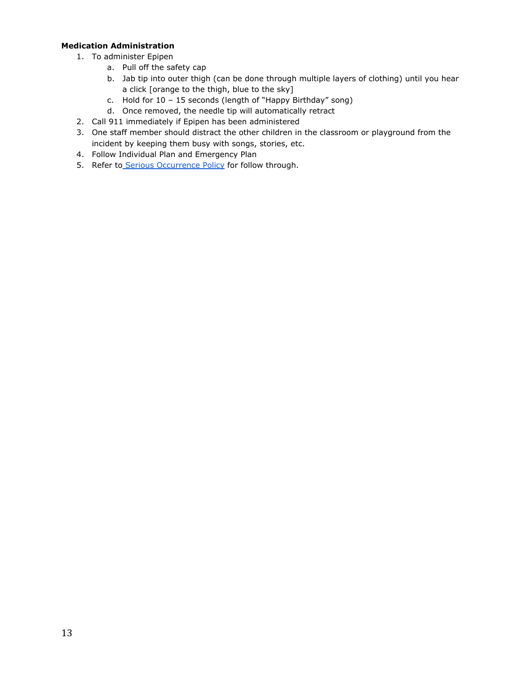## **Medication Administration**

- 1. To administer Epipen
	- a. Pull off the safety cap
	- b. Jab tip into outer thigh (can be done through multiple layers of clothing) until you hear a click [orange to the thigh, blue to the sky]
	- c. Hold for 10 15 seconds (length of "Happy Birthday" song)
	- d. Once removed, the needle tip will automatically retract
- 2. Call 911 immediately if Epipen has been administered
- 3. One staff member should distract the other children in the classroom or playground from the incident by keeping them busy with songs, stories, etc.
- 4. Follow Individual Plan and Emergency Plan
- 5. Refer to [Serious Occurrence Policy](#page-16-0) for follow through.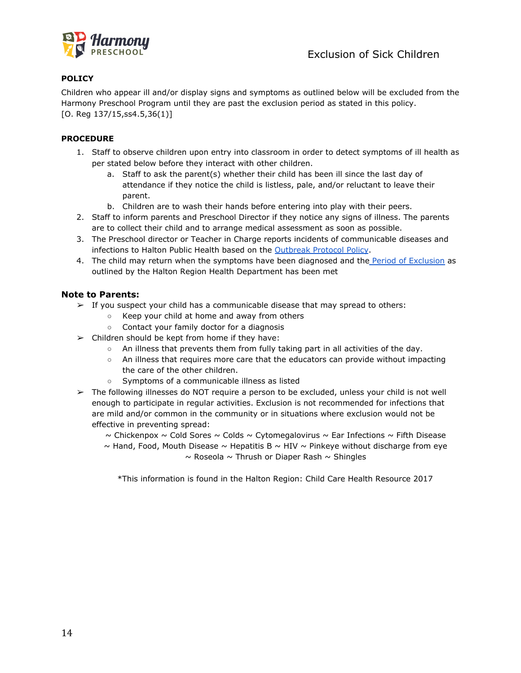

Children who appear ill and/or display signs and symptoms as outlined below will be excluded from the Harmony Preschool Program until they are past the exclusion period as stated in this policy. [O. Reg 137/15,ss4.5,36(1)]

## **PROCEDURE**

- 1. Staff to observe children upon entry into classroom in order to detect symptoms of ill health as per stated below before they interact with other children.
	- a. Staff to ask the parent(s) whether their child has been ill since the last day of attendance if they notice the child is listless, pale, and/or reluctant to leave their parent.
	- b. Children are to wash their hands before entering into play with their peers.
- 2. Staff to inform parents and Preschool Director if they notice any signs of illness. The parents are to collect their child and to arrange medical assessment as soon as possible.
- 3. The Preschool director or Teacher in Charge reports incidents of communicable diseases and infections to Halton Public Health based on the Outbreak [Protocol Policy](https://docs.google.com/document/d/18I8FBAkTc-Z_F6PzgjW4iarhA1wNliP3rAYfO-KKC9w/edit).
- 4. The child may return when the symptoms have been diagnosed and the [Period of Exclusion](http://www.halton.ca/cms/one.aspx?portalId=8310&pageId=11694) as outlined by the Halton Region Health Department has been met

## **Note to Parents:**

- $\triangleright$  If you suspect your child has a communicable disease that may spread to others:
	- Keep your child at home and away from others
	- Contact your family doctor for a diagnosis
- $\triangleright$  Children should be kept from home if they have:
	- $\circ$  An illness that prevents them from fully taking part in all activities of the day.
	- An illness that requires more care that the educators can provide without impacting the care of the other children.
	- Symptoms of a communicable illness as listed
- $\triangleright$  The following illnesses do NOT require a person to be excluded, unless your child is not well enough to participate in regular activities. Exclusion is not recommended for infections that are mild and/or common in the community or in situations where exclusion would not be effective in preventing spread:

 $\sim$  Chickenpox  $\sim$  Cold Sores  $\sim$  Colds  $\sim$  Cytomegalovirus  $\sim$  Ear Infections  $\sim$  Fifth Disease  $\sim$  Hand, Food, Mouth Disease  $\sim$  Hepatitis B  $\sim$  HIV  $\sim$  Pinkeye without discharge from eye  $\sim$  Roseola  $\sim$  Thrush or Diaper Rash  $\sim$  Shingles

\*This information is found in the Halton Region: Child Care Health Resource 2017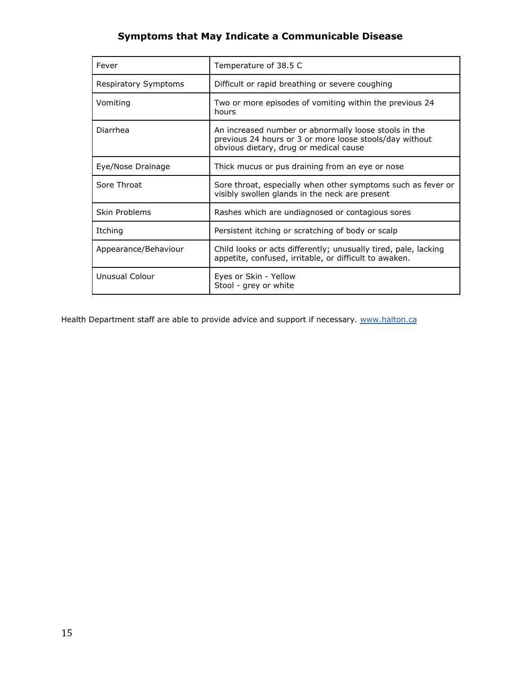# **Symptoms that May Indicate a Communicable Disease**

| Fever                       | Temperature of 38.5 C                                                                                                                                      |
|-----------------------------|------------------------------------------------------------------------------------------------------------------------------------------------------------|
| <b>Respiratory Symptoms</b> | Difficult or rapid breathing or severe coughing                                                                                                            |
| Vomiting                    | Two or more episodes of vomiting within the previous 24<br>hours                                                                                           |
| Diarrhea                    | An increased number or abnormally loose stools in the<br>previous 24 hours or 3 or more loose stools/day without<br>obvious dietary, drug or medical cause |
| Eye/Nose Drainage           | Thick mucus or pus draining from an eye or nose                                                                                                            |
| Sore Throat                 | Sore throat, especially when other symptoms such as fever or<br>visibly swollen glands in the neck are present                                             |
| Skin Problems               | Rashes which are undiagnosed or contagious sores                                                                                                           |
| Itching                     | Persistent itching or scratching of body or scalp                                                                                                          |
| Appearance/Behaviour        | Child looks or acts differently; unusually tired, pale, lacking<br>appetite, confused, irritable, or difficult to awaken.                                  |
| Unusual Colour              | Eyes or Skin - Yellow<br>Stool - grey or white                                                                                                             |

Health Department staff are able to provide advice and support if necessary. [www.halton.ca](http://www.halton.ca)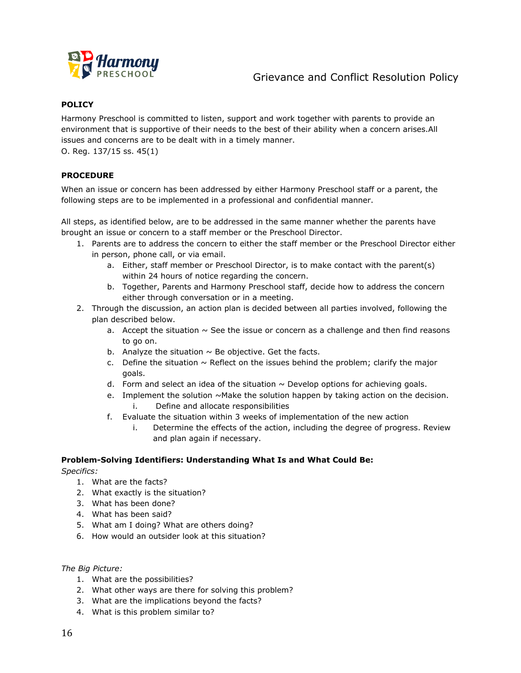<span id="page-16-0"></span>

# Grievance and Conflict Resolution Policy

## **POLICY**

Harmony Preschool is committed to listen, support and work together with parents to provide an environment that is supportive of their needs to the best of their ability when a concern arises.All issues and concerns are to be dealt with in a timely manner. O. Reg. 137/15 ss. 45(1)

**PROCEDURE**

When an issue or concern has been addressed by either Harmony Preschool staff or a parent, the following steps are to be implemented in a professional and confidential manner.

All steps, as identified below, are to be addressed in the same manner whether the parents have brought an issue or concern to a staff member or the Preschool Director.

- 1. Parents are to address the concern to either the staff member or the Preschool Director either in person, phone call, or via email.
	- a. Either, staff member or Preschool Director, is to make contact with the parent(s) within 24 hours of notice regarding the concern.
	- b. Together, Parents and Harmony Preschool staff, decide how to address the concern either through conversation or in a meeting.
- 2. Through the discussion, an action plan is decided between all parties involved, following the plan described below.
	- a. Accept the situation  $\sim$  See the issue or concern as a challenge and then find reasons to go on.
	- b. Analyze the situation  $\sim$  Be objective. Get the facts.
	- c. Define the situation  $\sim$  Reflect on the issues behind the problem; clarify the major goals.
	- d. Form and select an idea of the situation  $\sim$  Develop options for achieving goals.
	- e. Implement the solution  $\sim$  Make the solution happen by taking action on the decision. i. Define and allocate responsibilities
	- f. Evaluate the situation within 3 weeks of implementation of the new action
		- i. Determine the effects of the action, including the degree of progress. Review and plan again if necessary.

#### **Problem-Solving Identifiers: Understanding What Is and What Could Be:**

*Specifics:*

- 1. What are the facts?
- 2. What exactly is the situation?
- 3. What has been done?
- 4. What has been said?
- 5. What am I doing? What are others doing?
- 6. How would an outsider look at this situation?

*The Big Picture:*

- 1. What are the possibilities?
- 2. What other ways are there for solving this problem?
- 3. What are the implications beyond the facts?
- 4. What is this problem similar to?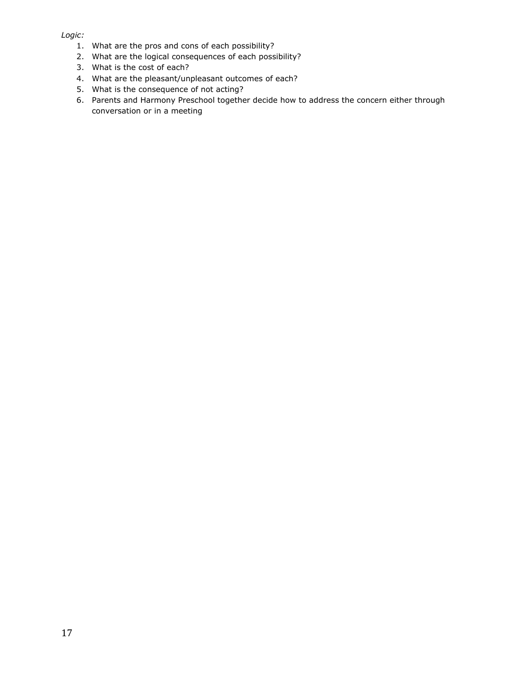*Logic:*

- 1. What are the pros and cons of each possibility?
- 2. What are the logical consequences of each possibility?
- 3. What is the cost of each?
- 4. What are the pleasant/unpleasant outcomes of each?
- 5. What is the consequence of not acting?
- 6. Parents and Harmony Preschool together decide how to address the concern either through conversation or in a meeting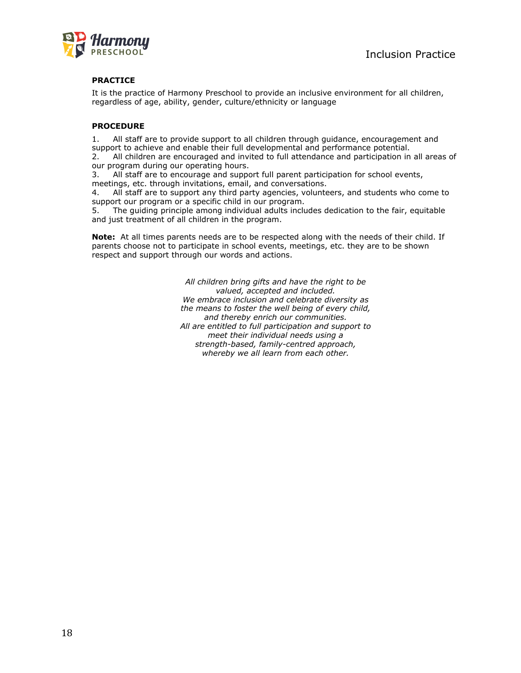

## **PRACTICE**

It is the practice of Harmony Preschool to provide an inclusive environment for all children, regardless of age, ability, gender, culture/ethnicity or language

## **PROCEDURE**

1. All staff are to provide support to all children through guidance, encouragement and support to achieve and enable their full developmental and performance potential.

2. All children are encouraged and invited to full attendance and participation in all areas of our program during our operating hours.

3. All staff are to encourage and support full parent participation for school events, meetings, etc. through invitations, email, and conversations.

4. All staff are to support any third party agencies, volunteers, and students who come to support our program or a specific child in our program.

5. The guiding principle among individual adults includes dedication to the fair, equitable and just treatment of all children in the program.

**Note:** At all times parents needs are to be respected along with the needs of their child. If parents choose not to participate in school events, meetings, etc. they are to be shown respect and support through our words and actions.

> *All children bring gifts and have the right to be valued, accepted and included. We embrace inclusion and celebrate diversity as the means to foster the well being of every child, and thereby enrich our communities. All are entitled to full participation and support to meet their individual needs using a strength-based, family-centred approach, whereby we all learn from each other.*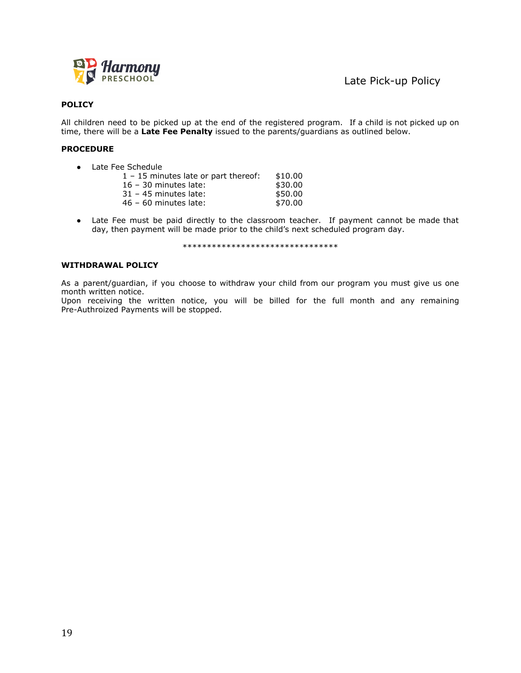

All children need to be picked up at the end of the registered program. If a child is not picked up on time, there will be a **Late Fee Penalty** issued to the parents/guardians as outlined below.

#### **PROCEDURE**

● Late Fee Schedule

| $1 - 15$ minutes late or part thereof: | \$10.00 |
|----------------------------------------|---------|
|                                        |         |
| $16 - 30$ minutes late:                | \$30.00 |
| $31 - 45$ minutes late:                | \$50.00 |
| $46 - 60$ minutes late:                | \$70.00 |
|                                        |         |

● Late Fee must be paid directly to the classroom teacher. If payment cannot be made that day, then payment will be made prior to the child's next scheduled program day.

\*\*\*\*\*\*\*\*\*\*\*\*\*\*\*\*\*\*\*\*\*\*\*\*\*\*\*\*\*\*\*\*

#### **WITHDRAWAL POLICY**

As a parent/guardian, if you choose to withdraw your child from our program you must give us one month written notice.

Upon receiving the written notice, you will be billed for the full month and any remaining Pre-Authroized Payments will be stopped.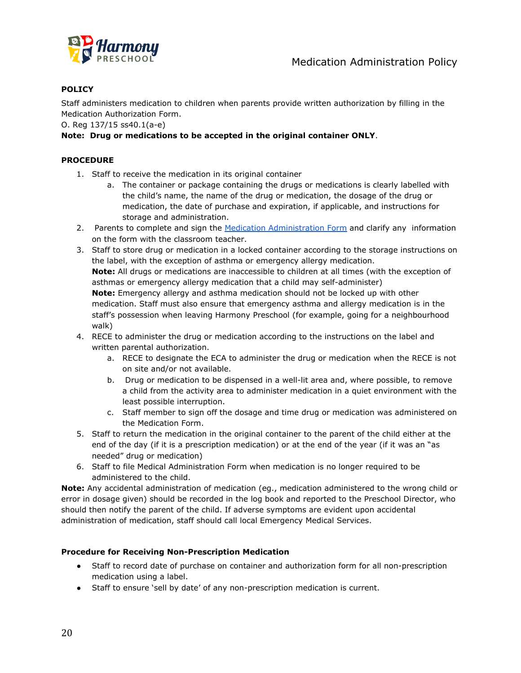

Staff administers medication to children when parents provide written authorization by filling in the Medication Authorization Form.

O. Reg 137/15 ss40.1(a-e)

## **Note: Drug or medications to be accepted in the original container ONLY**.

## **PROCEDURE**

- 1. Staff to receive the medication in its original container
	- a. The container or package containing the drugs or medications is clearly labelled with the child's name, the name of the drug or medication, the dosage of the drug or medication, the date of purchase and expiration, if applicable, and instructions for storage and administration.
- 2. Parents to complete and sign the [Medication Administration](https://docs.google.com/document/d/1zFQnlOv9TOQLQy7FU6FsssYVuVgZCX4o4iCe6gOLpK0/edit) Form and clarify any information on the form with the classroom teacher.
- 3. Staff to store drug or medication in a locked container according to the storage instructions on the label, with the exception of asthma or emergency allergy medication. **Note:** All drugs or medications are inaccessible to children at all times (with the exception of asthmas or emergency allergy medication that a child may self-administer) **Note:** Emergency allergy and asthma medication should not be locked up with other medication. Staff must also ensure that emergency asthma and allergy medication is in the staff's possession when leaving Harmony Preschool (for example, going for a neighbourhood walk) 4. RECE to administer the drug or medication according to the instructions on the label and
- written parental authorization.
	- a. RECE to designate the ECA to administer the drug or medication when the RECE is not on site and/or not available.
	- b. Drug or medication to be dispensed in a well-lit area and, where possible, to remove a child from the activity area to administer medication in a quiet environment with the least possible interruption.
	- c. Staff member to sign off the dosage and time drug or medication was administered on the Medication Form.
- 5. Staff to return the medication in the original container to the parent of the child either at the end of the day (if it is a prescription medication) or at the end of the year (if it was an "as needed" drug or medication)
- 6. Staff to file Medical Administration Form when medication is no longer required to be administered to the child.

**Note:** Any accidental administration of medication (eg., medication administered to the wrong child or error in dosage given) should be recorded in the log book and reported to the Preschool Director, who should then notify the parent of the child. If adverse symptoms are evident upon accidental administration of medication, staff should call local Emergency Medical Services.

#### **Procedure for Receiving Non-Prescription Medication**

- Staff to record date of purchase on container and authorization form for all non-prescription medication using a label.
- Staff to ensure 'sell by date' of any non-prescription medication is current.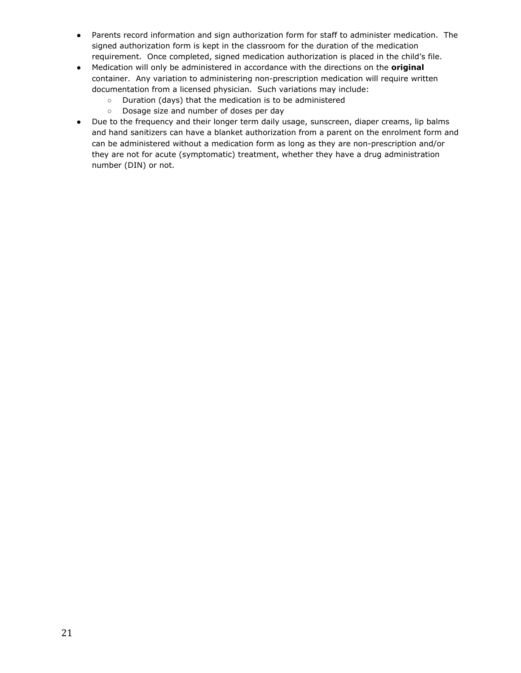- Parents record information and sign authorization form for staff to administer medication. The signed authorization form is kept in the classroom for the duration of the medication requirement. Once completed, signed medication authorization is placed in the child's file.
- Medication will only be administered in accordance with the directions on the **original** container. Any variation to administering non-prescription medication will require written documentation from a licensed physician. Such variations may include:
	- Duration (days) that the medication is to be administered
	- Dosage size and number of doses per day
- Due to the frequency and their longer term daily usage, sunscreen, diaper creams, lip balms and hand sanitizers can have a blanket authorization from a parent on the enrolment form and can be administered without a medication form as long as they are non-prescription and/or they are not for acute (symptomatic) treatment, whether they have a drug administration number (DIN) or not.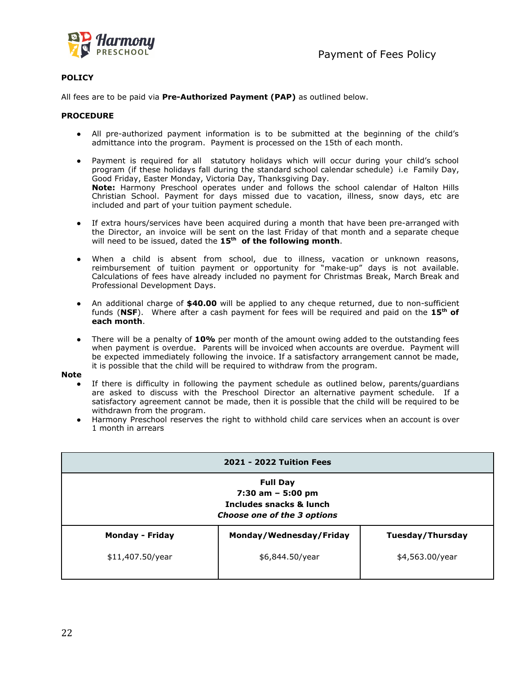

All fees are to be paid via **Pre-Authorized Payment (PAP)** as outlined below.

#### **PROCEDURE**

- All pre-authorized payment information is to be submitted at the beginning of the child's admittance into the program. Payment is processed on the 15th of each month.
- Payment is required for all statutory holidays which will occur during your child's school program (if these holidays fall during the standard school calendar schedule) i.e Family Day, Good Friday, Easter Monday, Victoria Day, Thanksgiving Day. **Note:** Harmony Preschool operates under and follows the school calendar of Halton Hills Christian School. Payment for days missed due to vacation, illness, snow days, etc are included and part of your tuition payment schedule.
- If extra hours/services have been acquired during a month that have been pre-arranged with the Director, an invoice will be sent on the last Friday of that month and a separate cheque will need to be issued, dated the **15th of the following month**.
- When a child is absent from school, due to illness, vacation or unknown reasons, reimbursement of tuition payment or opportunity for "make-up" days is not available. Calculations of fees have already included no payment for Christmas Break, March Break and Professional Development Days.
- An additional charge of **\$40.00** will be applied to any cheque returned, due to non-sufficient funds (**NSF**). Where after a cash payment for fees will be required and paid on the **15th of each month**.
- There will be a penalty of 10% per month of the amount owing added to the outstanding fees when payment is overdue. Parents will be invoiced when accounts are overdue. Payment will be expected immediately following the invoice. If a satisfactory arrangement cannot be made, it is possible that the child will be required to withdraw from the program.

#### **Note**

- If there is difficulty in following the payment schedule as outlined below, parents/guardians are asked to discuss with the Preschool Director an alternative payment schedule. If a satisfactory agreement cannot be made, then it is possible that the child will be required to be withdrawn from the program.
- Harmony Preschool reserves the right to withhold child care services when an account is over 1 month in arrears

|                                                                                                   | <b>2021 - 2022 Tuition Fees</b> |                  |  |
|---------------------------------------------------------------------------------------------------|---------------------------------|------------------|--|
| <b>Full Day</b><br>$7:30$ am $-5:00$ pm<br>Includes snacks & lunch<br>Choose one of the 3 options |                                 |                  |  |
| <b>Monday - Friday</b>                                                                            | Monday/Wednesday/Friday         | Tuesday/Thursday |  |
| \$11,407.50/year                                                                                  | \$6,844.50/year                 | \$4,563.00/year  |  |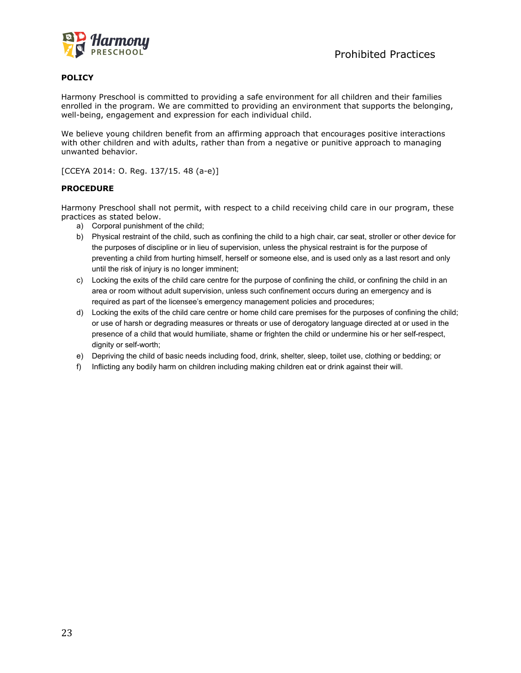

Harmony Preschool is committed to providing a safe environment for all children and their families enrolled in the program. We are committed to providing an environment that supports the belonging, well-being, engagement and expression for each individual child.

We believe young children benefit from an affirming approach that encourages positive interactions with other children and with adults, rather than from a negative or punitive approach to managing unwanted behavior.

[CCEYA 2014: O. Reg. 137/15. 48 (a-e)]

#### **PROCEDURE**

Harmony Preschool shall not permit, with respect to a child receiving child care in our program, these practices as stated below.

- a) Corporal punishment of the child;
- b) Physical restraint of the child, such as confining the child to a high chair, car seat, stroller or other device for the purposes of discipline or in lieu of supervision, unless the physical restraint is for the purpose of preventing a child from hurting himself, herself or someone else, and is used only as a last resort and only until the risk of injury is no longer imminent;
- c) Locking the exits of the child care centre for the purpose of confining the child, or confining the child in an area or room without adult supervision, unless such confinement occurs during an emergency and is required as part of the licensee's emergency management policies and procedures;
- d) Locking the exits of the child care centre or home child care premises for the purposes of confining the child; or use of harsh or degrading measures or threats or use of derogatory language directed at or used in the presence of a child that would humiliate, shame or frighten the child or undermine his or her self-respect, dignity or self-worth;
- e) Depriving the child of basic needs including food, drink, shelter, sleep, toilet use, clothing or bedding; or
- f) Inflicting any bodily harm on children including making children eat or drink against their will.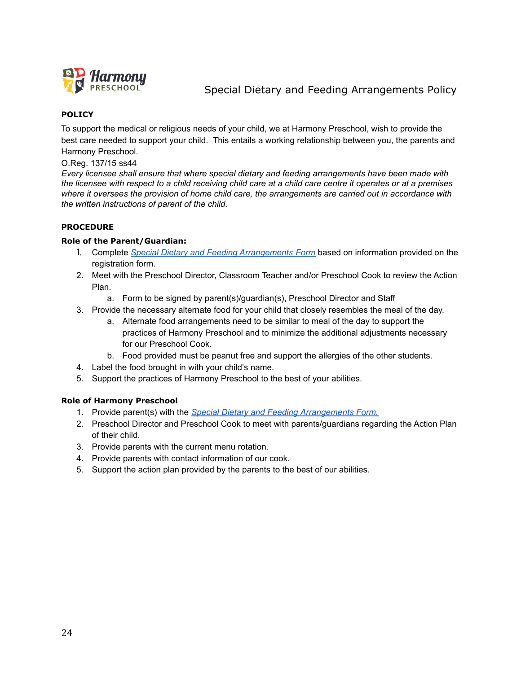

# Special Dietary and Feeding Arrangements Policy

## **POLICY**

To support the medical or religious needs of your child, we at Harmony Preschool, wish to provide the best care needed to support your child. This entails a working relationship between you, the parents and Harmony Preschool.

O.Reg. 137/15 ss44

*Every licensee shall ensure that where special dietary and feeding arrangements have been made with* the licensee with respect to a child receiving child care at a child care centre it operates or at a premises *where it oversees the provision of home child care, the arrangements are carried out in accordance with the written instructions of parent of the child.*

## **PROCEDURE**

## **Role of the Parent/Guardian:**

- 1. Complete *Special Dietary and Feeding [Arrangements](https://docs.google.com/document/d/1V52gK_PvGpLVgg-xdu6bsfsl_k2XimiNcU6j6M51VvQ/edit#) Form* based on information provided on the registration form.
- 2. Meet with the Preschool Director, Classroom Teacher and/or Preschool Cook to review the Action Plan.
	- a. Form to be signed by parent(s)/guardian(s), Preschool Director and Staff
- 3. Provide the necessary alternate food for your child that closely resembles the meal of the day.
	- a. Alternate food arrangements need to be similar to meal of the day to support the practices of Harmony Preschool and to minimize the additional adjustments necessary for our Preschool Cook.
	- b. Food provided must be peanut free and support the allergies of the other students.
- 4. Label the food brought in with your child's name.
- 5. Support the practices of Harmony Preschool to the best of your abilities.

## **Role of Harmony Preschool**

- 1. Provide parent(s) with the *Special Dietary and Feeding [Arrangements](https://docs.google.com/document/d/1V52gK_PvGpLVgg-xdu6bsfsl_k2XimiNcU6j6M51VvQ/edit#) Form.*
- 2. Preschool Director and Preschool Cook to meet with parents/guardians regarding the Action Plan of their child.
- 3. Provide parents with the current menu rotation.
- 4. Provide parents with contact information of our cook.
- 5. Support the action plan provided by the parents to the best of our abilities.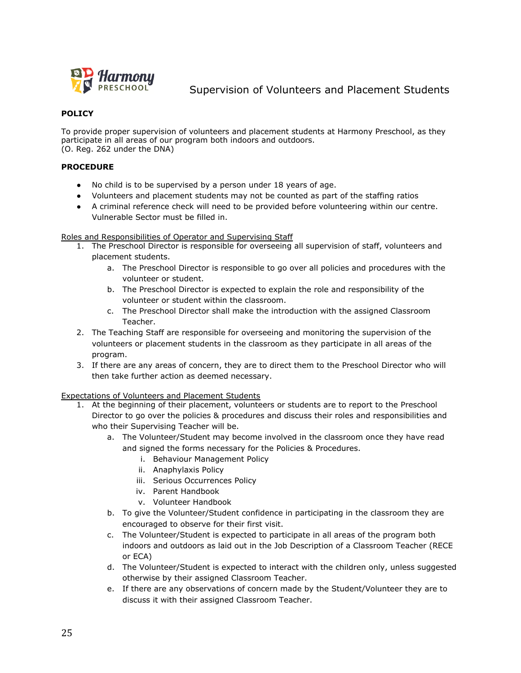

Supervision of Volunteers and Placement Students

## **POLICY**

To provide proper supervision of volunteers and placement students at Harmony Preschool, as they participate in all areas of our program both indoors and outdoors. (O. Reg. 262 under the DNA)

## **PROCEDURE**

- No child is to be supervised by a person under 18 years of age.
- Volunteers and placement students may not be counted as part of the staffing ratios
- A criminal reference check will need to be provided before volunteering within our centre. Vulnerable Sector must be filled in.

#### Roles and Responsibilities of Operator and Supervising Staff

- 1. The Preschool Director is responsible for overseeing all supervision of staff, volunteers and placement students.
	- a. The Preschool Director is responsible to go over all policies and procedures with the volunteer or student.
	- b. The Preschool Director is expected to explain the role and responsibility of the volunteer or student within the classroom.
	- c. The Preschool Director shall make the introduction with the assigned Classroom Teacher.
- 2. The Teaching Staff are responsible for overseeing and monitoring the supervision of the volunteers or placement students in the classroom as they participate in all areas of the program.
- 3. If there are any areas of concern, they are to direct them to the Preschool Director who will then take further action as deemed necessary.

#### Expectations of Volunteers and Placement Students

- 1. At the beginning of their placement, volunteers or students are to report to the Preschool Director to go over the policies & procedures and discuss their roles and responsibilities and who their Supervising Teacher will be.
	- a. The Volunteer/Student may become involved in the classroom once they have read and signed the forms necessary for the Policies & Procedures.
		- i. Behaviour Management Policy
		- ii. Anaphylaxis Policy
		- iii. Serious Occurrences Policy
		- iv. Parent Handbook
		- v. Volunteer Handbook
	- b. To give the Volunteer/Student confidence in participating in the classroom they are encouraged to observe for their first visit.
	- c. The Volunteer/Student is expected to participate in all areas of the program both indoors and outdoors as laid out in the Job Description of a Classroom Teacher (RECE or ECA)
	- d. The Volunteer/Student is expected to interact with the children only, unless suggested otherwise by their assigned Classroom Teacher.
	- e. If there are any observations of concern made by the Student/Volunteer they are to discuss it with their assigned Classroom Teacher.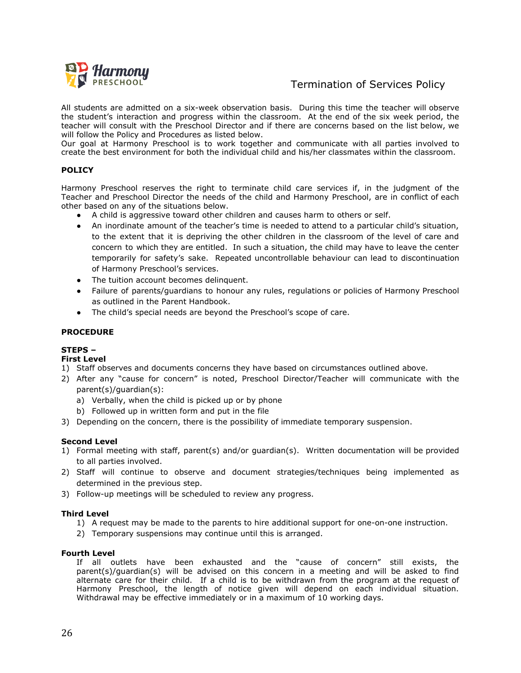

## Termination of Services Policy

All students are admitted on a six-week observation basis. During this time the teacher will observe the student's interaction and progress within the classroom. At the end of the six week period, the teacher will consult with the Preschool Director and if there are concerns based on the list below, we will follow the Policy and Procedures as listed below.

Our goal at Harmony Preschool is to work together and communicate with all parties involved to create the best environment for both the individual child and his/her classmates within the classroom.

## **POLICY**

Harmony Preschool reserves the right to terminate child care services if, in the judgment of the Teacher and Preschool Director the needs of the child and Harmony Preschool, are in conflict of each other based on any of the situations below.

- A child is aggressive toward other children and causes harm to others or self.
- An inordinate amount of the teacher's time is needed to attend to a particular child's situation, to the extent that it is depriving the other children in the classroom of the level of care and concern to which they are entitled. In such a situation, the child may have to leave the center temporarily for safety's sake. Repeated uncontrollable behaviour can lead to discontinuation of Harmony Preschool's services.
- The tuition account becomes delinquent.
- Failure of parents/guardians to honour any rules, regulations or policies of Harmony Preschool as outlined in the Parent Handbook.
- The child's special needs are beyond the Preschool's scope of care.

#### **PROCEDURE**

## **STEPS –**

#### **First Level**

- 1) Staff observes and documents concerns they have based on circumstances outlined above.
- 2) After any "cause for concern" is noted, Preschool Director/Teacher will communicate with the parent(s)/guardian(s):
	- a) Verbally, when the child is picked up or by phone
	- b) Followed up in written form and put in the file
- 3) Depending on the concern, there is the possibility of immediate temporary suspension.

#### **Second Level**

- 1) Formal meeting with staff, parent(s) and/or guardian(s). Written documentation will be provided to all parties involved.
- 2) Staff will continue to observe and document strategies/techniques being implemented as determined in the previous step.
- 3) Follow-up meetings will be scheduled to review any progress.

#### **Third Level**

- 1) A request may be made to the parents to hire additional support for one-on-one instruction.
- 2) Temporary suspensions may continue until this is arranged.

#### **Fourth Level**

If all outlets have been exhausted and the "cause of concern" still exists, the parent(s)/guardian(s) will be advised on this concern in a meeting and will be asked to find alternate care for their child. If a child is to be withdrawn from the program at the request of Harmony Preschool, the length of notice given will depend on each individual situation. Withdrawal may be effective immediately or in a maximum of 10 working days.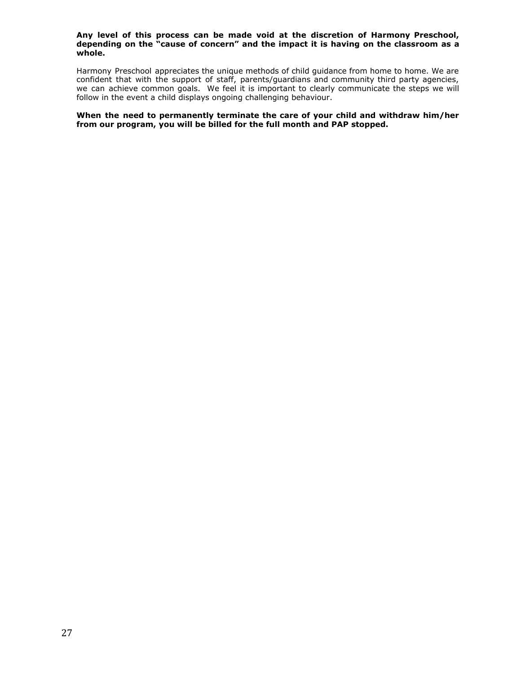#### **Any level of this process can be made void at the discretion of Harmony Preschool, depending on the "cause of concern" and the impact it is having on the classroom as a whole.**

Harmony Preschool appreciates the unique methods of child guidance from home to home. We are confident that with the support of staff, parents/guardians and community third party agencies, we can achieve common goals. We feel it is important to clearly communicate the steps we will follow in the event a child displays ongoing challenging behaviour.

**When the need to permanently terminate the care of your child and withdraw him/her from our program, you will be billed for the full month and PAP stopped.**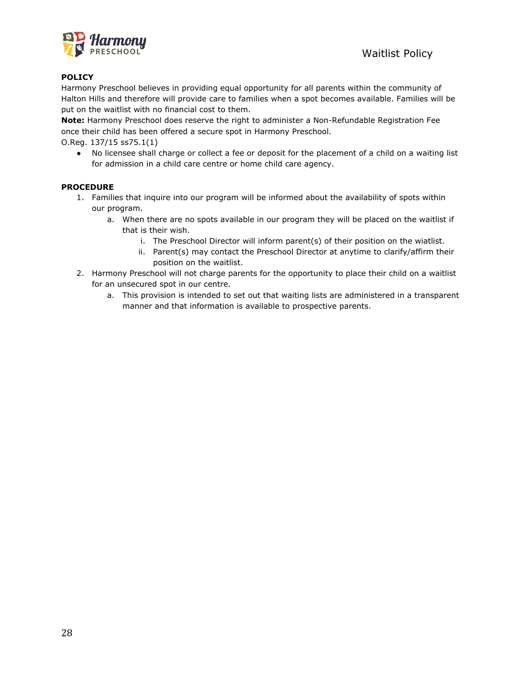

Harmony Preschool believes in providing equal opportunity for all parents within the community of Halton Hills and therefore will provide care to families when a spot becomes available. Families will be put on the waitlist with no financial cost to them.

**Note:** Harmony Preschool does reserve the right to administer a Non-Refundable Registration Fee once their child has been offered a secure spot in Harmony Preschool.

O.Reg. 137/15 ss75.1(1)

● No licensee shall charge or collect a fee or deposit for the placement of a child on a waiting list for admission in a child care centre or home child care agency.

## **PROCEDURE**

- 1. Families that inquire into our program will be informed about the availability of spots within our program.
	- a. When there are no spots available in our program they will be placed on the waitlist if that is their wish.
		- i. The Preschool Director will inform parent(s) of their position on the wiatlist.
		- ii. Parent(s) may contact the Preschool Director at anytime to clarify/affirm their position on the waitlist.
- 2. Harmony Preschool will not charge parents for the opportunity to place their child on a waitlist for an unsecured spot in our centre.
	- a. This provision is intended to set out that waiting lists are administered in a transparent manner and that information is available to prospective parents.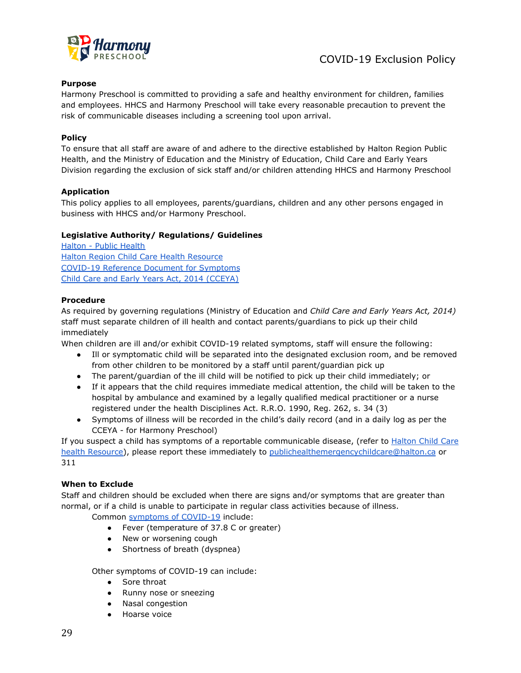

## **Purpose**

Harmony Preschool is committed to providing a safe and healthy environment for children, families and employees. HHCS and Harmony Preschool will take every reasonable precaution to prevent the risk of communicable diseases including a screening tool upon arrival.

## **Policy**

To ensure that all staff are aware of and adhere to the directive established by Halton Region Public Health, and the Ministry of Education and the Ministry of Education, Child Care and Early Years Division regarding the exclusion of sick staff and/or children attending HHCS and Harmony Preschool

#### **Application**

This policy applies to all employees, parents/guardians, children and any other persons engaged in business with HHCS and/or Harmony Preschool.

## **Legislative Authority/ Regulations/ Guidelines**

[Halton - Public Health](https://www.halton.ca/For-Residents/Public-Health) [Halton Region Child Care Health Resource](https://docs.google.com/document/d/1mpNA_uUOLZTzOpY5fVX3CxKYFykEmIcS3umSzFNR9Bw/edit) [COVID-19 Reference Document for Symptoms](https://docs.google.com/document/d/1Yz5Vqm48uiYp4RFC1IOtyjT-gK6-kZmfcWYFGnUYoyM/edit) [Child Care and Early Years Act, 2014 \(CCEYA\)](https://www.ontario.ca/laws/statute/14c11)

## **Procedure**

As required by governing regulations (Ministry of Education and *Child Care and Early Years Act, 2014)* staff must separate children of ill health and contact parents/guardians to pick up their child immediately

When children are ill and/or exhibit COVID-19 related symptoms, staff will ensure the following:

- Ill or symptomatic child will be separated into the designated exclusion room, and be removed from other children to be monitored by a staff until parent/guardian pick up
- The parent/guardian of the ill child will be notified to pick up their child immediately; or
- If it appears that the child requires immediate medical attention, the child will be taken to the hospital by ambulance and examined by a legally qualified medical practitioner or a nurse registered under the health Disciplines Act. R.R.O. 1990, Reg. 262, s. 34 (3)
- Symptoms of illness will be recorded in the child's daily record (and in a daily log as per the CCEYA - for Harmony Preschool)

If you suspect a child has symptoms of a reportable communicable disease, (refer to [Halton Child Care](https://docs.google.com/document/d/1mpNA_uUOLZTzOpY5fVX3CxKYFykEmIcS3umSzFNR9Bw/edit) [health Resource\)](https://docs.google.com/document/d/1mpNA_uUOLZTzOpY5fVX3CxKYFykEmIcS3umSzFNR9Bw/edit), please report these immediately to [publichealthemergencychildcare@halton.ca](mailto:publichealthemergencychildcare@halton.ca) or 311

#### **When to Exclude**

Staff and children should be excluded when there are signs and/or symptoms that are greater than normal, or if a child is unable to participate in regular class activities because of illness.

Common [symptoms of COVID-19](https://docs.google.com/document/d/1Yz5Vqm48uiYp4RFC1IOtyjT-gK6-kZmfcWYFGnUYoyM/edit) include:

- Fever (temperature of 37.8 C or greater)
- New or worsening cough
- Shortness of breath (dyspnea)

Other symptoms of COVID-19 can include:

- Sore throat
- Runny nose or sneezing
- Nasal congestion
- Hoarse voice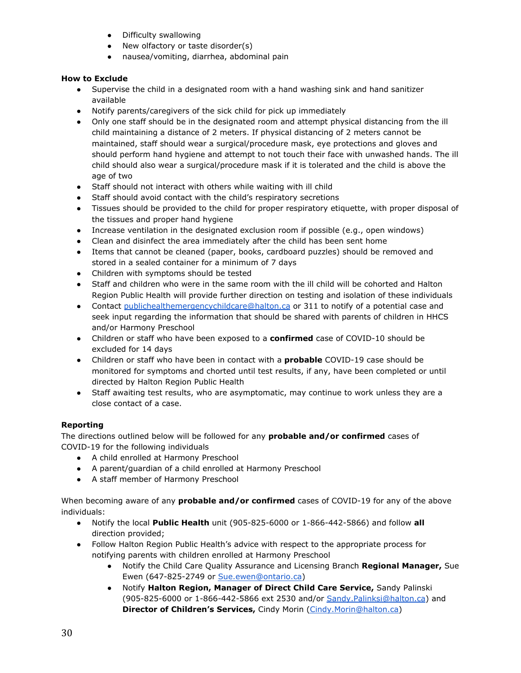- Difficulty swallowing
- New olfactory or taste disorder(s)
- nausea/vomiting, diarrhea, abdominal pain

## **How to Exclude**

- Supervise the child in a designated room with a hand washing sink and hand sanitizer available
- Notify parents/caregivers of the sick child for pick up immediately
- Only one staff should be in the designated room and attempt physical distancing from the ill child maintaining a distance of 2 meters. If physical distancing of 2 meters cannot be maintained, staff should wear a surgical/procedure mask, eye protections and gloves and should perform hand hygiene and attempt to not touch their face with unwashed hands. The ill child should also wear a surgical/procedure mask if it is tolerated and the child is above the age of two
- Staff should not interact with others while waiting with ill child
- Staff should avoid contact with the child's respiratory secretions
- Tissues should be provided to the child for proper respiratory etiquette, with proper disposal of the tissues and proper hand hygiene
- Increase ventilation in the designated exclusion room if possible (e.g., open windows)
- Clean and disinfect the area immediately after the child has been sent home
- Items that cannot be cleaned (paper, books, cardboard puzzles) should be removed and stored in a sealed container for a minimum of 7 days
- Children with symptoms should be tested
- Staff and children who were in the same room with the ill child will be cohorted and Halton Region Public Health will provide further direction on testing and isolation of these individuals
- Contact [publichealthemergencychildcare@halton.ca](mailto:publichealthemergencychildcare@halton.ca) or 311 to notify of a potential case and seek input regarding the information that should be shared with parents of children in HHCS and/or Harmony Preschool
- Children or staff who have been exposed to a **confirmed** case of COVID-10 should be excluded for 14 days
- Children or staff who have been in contact with a **probable** COVID-19 case should be monitored for symptoms and chorted until test results, if any, have been completed or until directed by Halton Region Public Health
- Staff awaiting test results, who are asymptomatic, may continue to work unless they are a close contact of a case.

## **Reporting**

The directions outlined below will be followed for any **probable and/or confirmed** cases of COVID-19 for the following individuals

- A child enrolled at Harmony Preschool
- A parent/guardian of a child enrolled at Harmony Preschool
- A staff member of Harmony Preschool

When becoming aware of any **probable and/or confirmed** cases of COVID-19 for any of the above individuals:

- Notify the local **Public Health** unit (905-825-6000 or 1-866-442-5866) and follow **all** direction provided;
- Follow Halton Region Public Health's advice with respect to the appropriate process for notifying parents with children enrolled at Harmony Preschool
	- Notify the Child Care Quality Assurance and Licensing Branch **Regional Manager,** Sue Ewen (647-825-2749 or [Sue.ewen@ontario.ca\)](mailto:Sue.ewen@ontario.ca)
	- Notify **Halton Region, Manager of Direct Child Care Service,** Sandy Palinski (905-825-6000 or 1-866-442-5866 ext 2530 and/or [Sandy.Palinksi@halton.ca](mailto:Sandy.Palinksi@halton.ca)) and **Director of Children's Services,** Cindy Morin [\(Cindy.Morin@halton.ca\)](mailto:Cindy.Morin@halton.ca)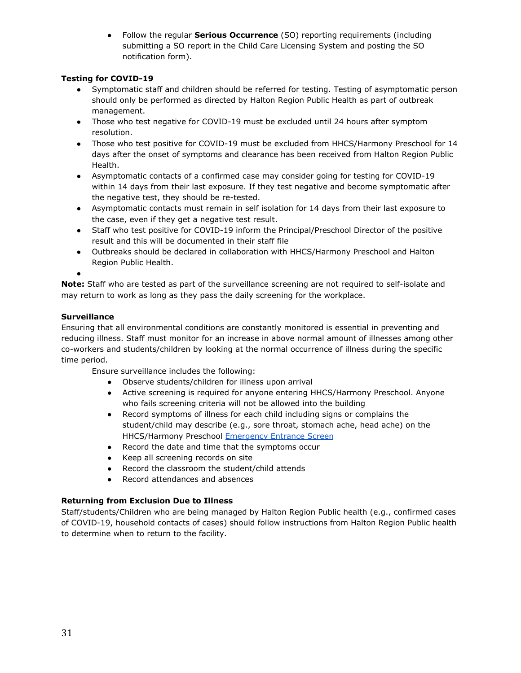● Follow the regular **Serious Occurrence** (SO) reporting requirements (including submitting a SO report in the Child Care Licensing System and posting the SO notification form).

## **Testing for COVID-19**

- **●** Symptomatic staff and children should be referred for testing. Testing of asymptomatic person should only be performed as directed by Halton Region Public Health as part of outbreak management.
- Those who test negative for COVID-19 must be excluded until 24 hours after symptom resolution.
- Those who test positive for COVID-19 must be excluded from HHCS/Harmony Preschool for 14 days after the onset of symptoms and clearance has been received from Halton Region Public Health.
- Asymptomatic contacts of a confirmed case may consider going for testing for COVID-19 within 14 days from their last exposure. If they test negative and become symptomatic after the negative test, they should be re-tested.
- Asymptomatic contacts must remain in self isolation for 14 days from their last exposure to the case, even if they get a negative test result.
- Staff who test positive for COVID-19 inform the Principal/Preschool Director of the positive result and this will be documented in their staff file
- Outbreaks should be declared in collaboration with HHCS/Harmony Preschool and Halton Region Public Health.

●

**Note:** Staff who are tested as part of the surveillance screening are not required to self-isolate and may return to work as long as they pass the daily screening for the workplace.

## **Surveillance**

Ensuring that all environmental conditions are constantly monitored is essential in preventing and reducing illness. Staff must monitor for an increase in above normal amount of illnesses among other co-workers and students/children by looking at the normal occurrence of illness during the specific time period.

Ensure surveillance includes the following:

- Observe students/children for illness upon arrival
- Active screening is required for anyone entering HHCS/Harmony Preschool. Anyone who fails screening criteria will not be allowed into the building
- Record symptoms of illness for each child including signs or complains the student/child may describe (e.g., sore throat, stomach ache, head ache) on the HHCS/Harmony Preschool [Emergency Entrance Screen](https://docs.google.com/document/d/1NupOsE4IllZvmKJYNdhRNNQMm9XCjJkudxK624jiC1k/edit)
- Record the date and time that the symptoms occur
- Keep all screening records on site
- Record the classroom the student/child attends
- Record attendances and absences

## **Returning from Exclusion Due to Illness**

Staff/students/Children who are being managed by Halton Region Public health (e.g., confirmed cases of COVID-19, household contacts of cases) should follow instructions from Halton Region Public health to determine when to return to the facility.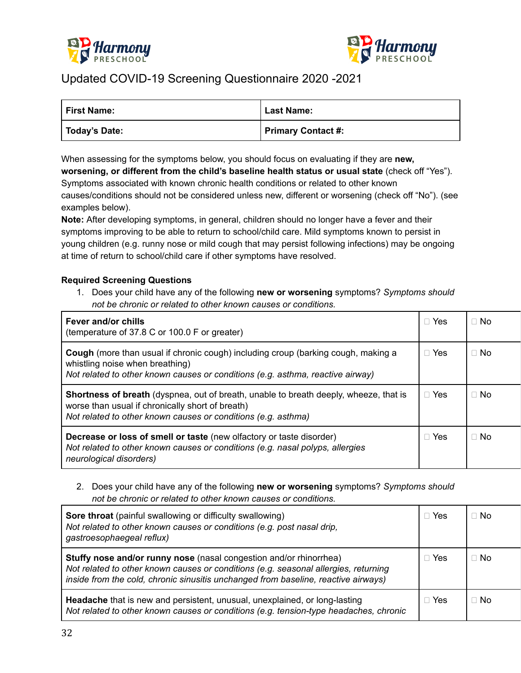



# Updated COVID-19 Screening Questionnaire 2020 -2021

| First Name:   | <b>Last Name:</b>  |
|---------------|--------------------|
| Today's Date: | Primary Contact #: |

When assessing for the symptoms below, you should focus on evaluating if they are **new, worsening, or different from the child's baseline health status or usual state** (check off "Yes"). Symptoms associated with known chronic health conditions or related to other known causes/conditions should not be considered unless new, different or worsening (check off "No"). (see examples below).

**Note:** After developing symptoms, in general, children should no longer have a fever and their symptoms improving to be able to return to school/child care. Mild symptoms known to persist in young children (e.g. runny nose or mild cough that may persist following infections) may be ongoing at time of return to school/child care if other symptoms have resolved.

## **Required Screening Questions**

1. Does your child have any of the following **new or worsening** symptoms? *Symptoms should not be chronic or related to other known causes or conditions.*

| Fever and/or chills<br>(temperature of 37.8 C or 100.0 F or greater)                                                                                                                                              | $\Box$ Yes | $\sqcap$ No |
|-------------------------------------------------------------------------------------------------------------------------------------------------------------------------------------------------------------------|------------|-------------|
| <b>Cough</b> (more than usual if chronic cough) including croup (barking cough, making a<br>whistling noise when breathing)<br>Not related to other known causes or conditions (e.g. asthma, reactive airway)     | $\Box$ Yes | ⊟ No        |
| <b>Shortness of breath</b> (dyspnea, out of breath, unable to breath deeply, wheeze, that is<br>worse than usual if chronically short of breath)<br>Not related to other known causes or conditions (e.g. asthma) | $\Box$ Yes | $\sqcap$ No |
| <b>Decrease or loss of smell or taste</b> (new olfactory or taste disorder)<br>Not related to other known causes or conditions (e.g. nasal polyps, allergies<br>neurological disorders)                           | $\Box$ Yes | ⊟ No        |

2. Does your child have any of the following **new or worsening** symptoms? *Symptoms should not be chronic or related to other known causes or conditions.*

| Sore throat (painful swallowing or difficulty swallowing)<br>Not related to other known causes or conditions (e.g. post nasal drip,<br>gastroesophaegeal reflux)                                                                                | Yes   | $\Box$ No |
|-------------------------------------------------------------------------------------------------------------------------------------------------------------------------------------------------------------------------------------------------|-------|-----------|
| Stuffy nose and/or runny nose (nasal congestion and/or rhinorrhea)<br>Not related to other known causes or conditions (e.g. seasonal allergies, returning<br>inside from the cold, chronic sinusitis unchanged from baseline, reactive airways) | □ Yes | $\Box$ No |
| Headache that is new and persistent, unusual, unexplained, or long-lasting<br>Not related to other known causes or conditions (e.g. tension-type headaches, chronic                                                                             | Yes   | $\Box$ No |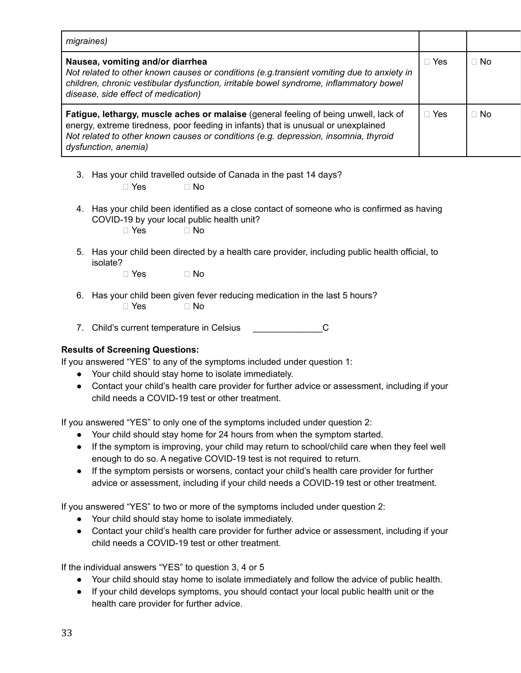| migraines)                                                                                                                                                                                                                                                                                |            |           |
|-------------------------------------------------------------------------------------------------------------------------------------------------------------------------------------------------------------------------------------------------------------------------------------------|------------|-----------|
| Nausea, vomiting and/or diarrhea<br>Not related to other known causes or conditions (e.g.transient vomiting due to anxiety in<br>children, chronic vestibular dysfunction, irritable bowel syndrome, inflammatory bowel<br>disease, side effect of medication)                            | Yes        | $\Box$ No |
| Fatigue, lethargy, muscle aches or malaise (general feeling of being unwell, lack of<br>energy, extreme tiredness, poor feeding in infants) that is unusual or unexplained<br>Not related to other known causes or conditions (e.g. depression, insomnia, thyroid<br>dysfunction, anemia) | $\Box$ Yes | $\Box$ No |

- 3. Has your child travelled outside of Canada in the past 14 days?  $\Box$  Yes  $\Box$  No
- 4. Has your child been identified as a close contact of someone who is confirmed as having COVID-19 by your local public health unit?
	- $\Box$  Yes  $\Box$  No
- 5. Has your child been directed by a health care provider, including public health official, to isolate?
	- $\Box$  Yes  $\Box$  No
- 6. Has your child been given fever reducing medication in the last 5 hours?  $\Box$  Yes  $\Box$  No
- 7. Child's current temperature in Celsius **C**

## **Results of Screening Questions:**

If you answered "YES" to any of the symptoms included under question 1:

- Your child should stay home to isolate immediately.
- Contact your child's health care provider for further advice or assessment, including if your child needs a COVID-19 test or other treatment.

If you answered "YES" to only one of the symptoms included under question 2:

- Your child should stay home for 24 hours from when the symptom started.
- If the symptom is improving, your child may return to school/child care when they feel well enough to do so. A negative COVID-19 test is not required to return.
- If the symptom persists or worsens, contact your child's health care provider for further advice or assessment, including if your child needs a COVID-19 test or other treatment.

If you answered "YES" to two or more of the symptoms included under question 2:

- Your child should stay home to isolate immediately.
- Contact your child's health care provider for further advice or assessment, including if your child needs a COVID-19 test or other treatment.

If the individual answers "YES" to question 3, 4 or 5

- Your child should stay home to isolate immediately and follow the advice of public health.
- If your child develops symptoms, you should contact your local public health unit or the health care provider for further advice.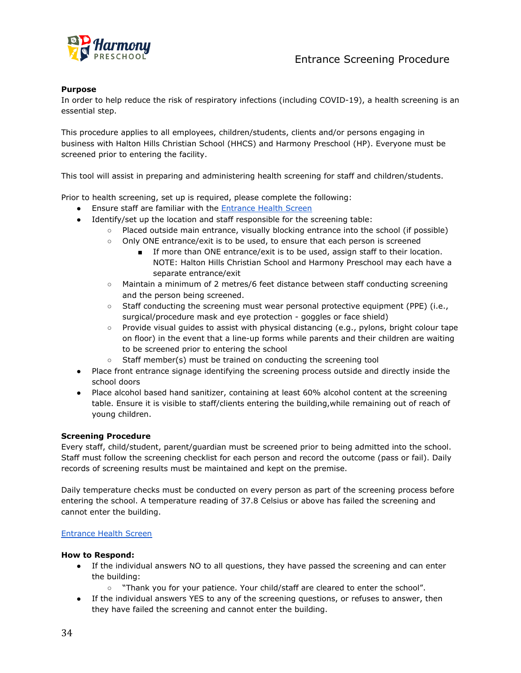

## **Purpose**

In order to help reduce the risk of respiratory infections (including COVID-19), a health screening is an essential step.

This procedure applies to all employees, children/students, clients and/or persons engaging in business with Halton Hills Christian School (HHCS) and Harmony Preschool (HP). Everyone must be screened prior to entering the facility.

This tool will assist in preparing and administering health screening for staff and children/students.

Prior to health screening, set up is required, please complete the following:

- **•** Ensure staff are familiar with the **[Entrance Health](https://docs.google.com/document/d/1rvJF79wO3jmQyBqaBbyo_Ww4dmZPRLKyScU3TJRFb84/edit#) Screen**
- Identify/set up the location and staff responsible for the screening table:
	- Placed outside main entrance, visually blocking entrance into the school (if possible)
	- Only ONE entrance/exit is to be used, to ensure that each person is screened
		- If more than ONE entrance/exit is to be used, assign staff to their location. NOTE: Halton Hills Christian School and Harmony Preschool may each have a separate entrance/exit
	- Maintain a minimum of 2 metres/6 feet distance between staff conducting screening and the person being screened.
	- Staff conducting the screening must wear personal protective equipment (PPE) (i.e., surgical/procedure mask and eye protection - goggles or face shield)
	- $\circ$  Provide visual guides to assist with physical distancing (e.g., pylons, bright colour tape on floor) in the event that a line-up forms while parents and their children are waiting to be screened prior to entering the school
	- Staff member(s) must be trained on conducting the screening tool
- Place front entrance signage identifying the screening process outside and directly inside the school doors
- Place alcohol based hand sanitizer, containing at least 60% alcohol content at the screening table. Ensure it is visible to staff/clients entering the building,while remaining out of reach of young children.

#### **Screening Procedure**

Every staff, child/student, parent/guardian must be screened prior to being admitted into the school. Staff must follow the screening checklist for each person and record the outcome (pass or fail). Daily records of screening results must be maintained and kept on the premise.

Daily temperature checks must be conducted on every person as part of the screening process before entering the school. A temperature reading of 37.8 Celsius or above has failed the screening and cannot enter the building.

#### [Entrance Health Screen](https://docs.google.com/document/d/1rvJF79wO3jmQyBqaBbyo_Ww4dmZPRLKyScU3TJRFb84/edit#)

#### **How to Respond:**

- If the individual answers NO to all questions, they have passed the screening and can enter the building:
	- "Thank you for your patience. Your child/staff are cleared to enter the school".
- If the individual answers YES to any of the screening questions, or refuses to answer, then they have failed the screening and cannot enter the building.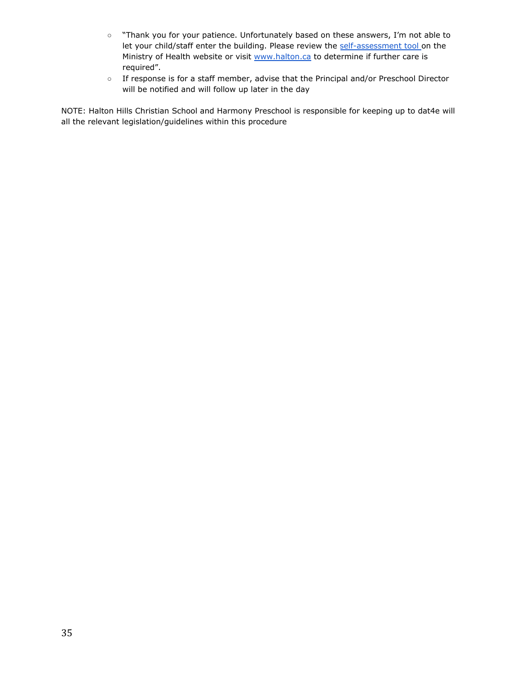- "Thank you for your patience. Unfortunately based on these answers, I'm not able to let your child/staff enter the building. Please review the [self-assessment tool](https://covid-19.ontario.ca/self-assessment/) on the Ministry of Health website or visit [www.halton.ca](http://www.halton.ca) to determine if further care is required".
- If response is for a staff member, advise that the Principal and/or Preschool Director will be notified and will follow up later in the day

NOTE: Halton Hills Christian School and Harmony Preschool is responsible for keeping up to dat4e will all the relevant legislation/guidelines within this procedure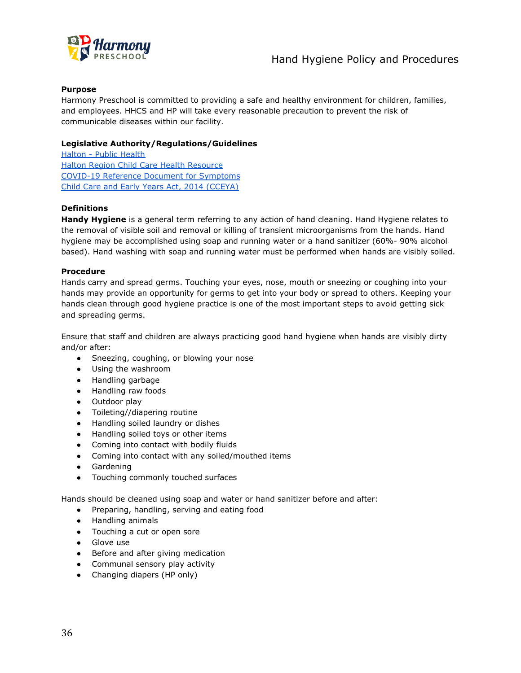

## **Purpose**

Harmony Preschool is committed to providing a safe and healthy environment for children, families, and employees. HHCS and HP will take every reasonable precaution to prevent the risk of communicable diseases within our facility.

## **Legislative Authority/Regulations/Guidelines**

[Halton - Public Health](https://www.halton.ca/For-Residents/Public-Health) [Halton Region Child Care Health Resource](https://docs.google.com/document/d/1mpNA_uUOLZTzOpY5fVX3CxKYFykEmIcS3umSzFNR9Bw/edit) [COVID-19 Reference Document for Symptoms](https://docs.google.com/document/d/1Yz5Vqm48uiYp4RFC1IOtyjT-gK6-kZmfcWYFGnUYoyM/edit) [Child Care and Early Years Act, 2014 \(CCEYA\)](https://www.ontario.ca/laws/statute/14c11)

## **Definitions**

**Handy Hygiene** is a general term referring to any action of hand cleaning. Hand Hygiene relates to the removal of visible soil and removal or killing of transient microorganisms from the hands. Hand hygiene may be accomplished using soap and running water or a hand sanitizer (60%- 90% alcohol based). Hand washing with soap and running water must be performed when hands are visibly soiled.

#### **Procedure**

Hands carry and spread germs. Touching your eyes, nose, mouth or sneezing or coughing into your hands may provide an opportunity for germs to get into your body or spread to others. Keeping your hands clean through good hygiene practice is one of the most important steps to avoid getting sick and spreading germs.

Ensure that staff and children are always practicing good hand hygiene when hands are visibly dirty and/or after:

- Sneezing, coughing, or blowing your nose
- Using the washroom
- Handling garbage
- Handling raw foods
- Outdoor play
- Toileting//diapering routine
- Handling soiled laundry or dishes
- Handling soiled toys or other items
- Coming into contact with bodily fluids
- Coming into contact with any soiled/mouthed items
- Gardening
- Touching commonly touched surfaces

Hands should be cleaned using soap and water or hand sanitizer before and after:

- Preparing, handling, serving and eating food
- Handling animals
- Touching a cut or open sore
- Glove use
- Before and after giving medication
- Communal sensory play activity
- Changing diapers (HP only)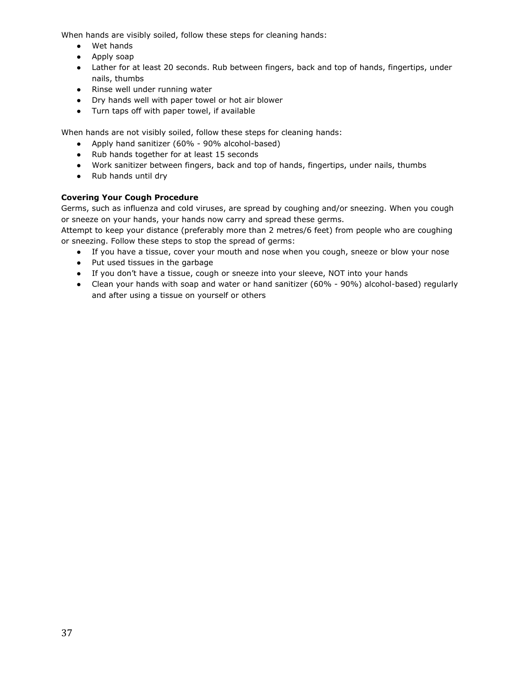When hands are visibly soiled, follow these steps for cleaning hands:

- Wet hands
- Apply soap
- Lather for at least 20 seconds. Rub between fingers, back and top of hands, fingertips, under nails, thumbs
- Rinse well under running water
- Dry hands well with paper towel or hot air blower
- Turn taps off with paper towel, if available

When hands are not visibly soiled, follow these steps for cleaning hands:

- Apply hand sanitizer (60% 90% alcohol-based)
- Rub hands together for at least 15 seconds
- Work sanitizer between fingers, back and top of hands, fingertips, under nails, thumbs
- Rub hands until dry

## **Covering Your Cough Procedure**

Germs, such as influenza and cold viruses, are spread by coughing and/or sneezing. When you cough or sneeze on your hands, your hands now carry and spread these germs.

Attempt to keep your distance (preferably more than 2 metres/6 feet) from people who are coughing or sneezing. Follow these steps to stop the spread of germs:

- If you have a tissue, cover your mouth and nose when you cough, sneeze or blow your nose
- Put used tissues in the garbage
- If you don't have a tissue, cough or sneeze into your sleeve, NOT into your hands
- Clean your hands with soap and water or hand sanitizer (60% 90%) alcohol-based) regularly and after using a tissue on yourself or others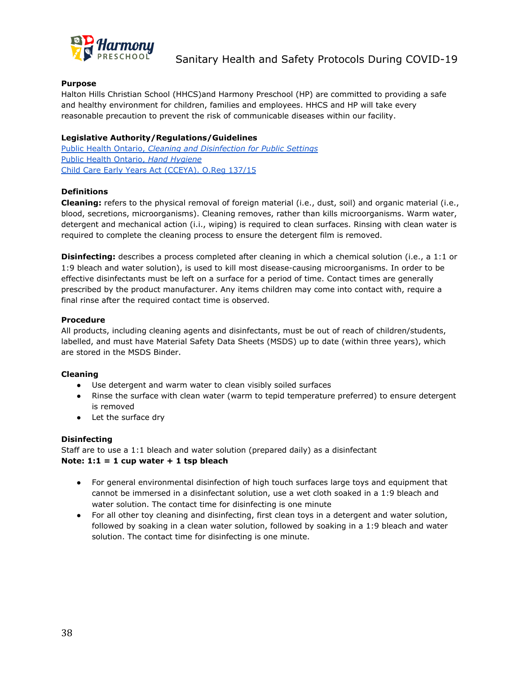

## **Purpose**

Halton Hills Christian School (HHCS)and Harmony Preschool (HP) are committed to providing a safe and healthy environment for children, families and employees. HHCS and HP will take every reasonable precaution to prevent the risk of communicable diseases within our facility.

## **Legislative Authority/Regulations/Guidelines**

Public Health Ontario, *[Cleaning and Disinfection for](https://www.publichealthontario.ca/-/media/documents/ncov/factsheet-covid-19-environmental-cleaning.pdf?la=en) Public Settings* [Public Health Ontario,](https://www.publichealthontario.ca/en/health-topics/infection-prevention-control/hand-hygiene) *Hand Hygiene* [Child Care Early Years Act \(CCEYA\). O.Reg 137/15](https://www.ontario.ca/laws/regulation/150137#BK70)

## **Definitions**

**Cleaning:** refers to the physical removal of foreign material (i.e., dust, soil) and organic material (i.e., blood, secretions, microorganisms). Cleaning removes, rather than kills microorganisms. Warm water, detergent and mechanical action (i.i., wiping) is required to clean surfaces. Rinsing with clean water is required to complete the cleaning process to ensure the detergent film is removed.

**Disinfecting:** describes a process completed after cleaning in which a chemical solution (i.e., a 1:1 or 1:9 bleach and water solution), is used to kill most disease-causing microorganisms. In order to be effective disinfectants must be left on a surface for a period of time. Contact times are generally prescribed by the product manufacturer. Any items children may come into contact with, require a final rinse after the required contact time is observed.

#### **Procedure**

All products, including cleaning agents and disinfectants, must be out of reach of children/students, labelled, and must have Material Safety Data Sheets (MSDS) up to date (within three years), which are stored in the MSDS Binder.

#### **Cleaning**

- Use detergent and warm water to clean visibly soiled surfaces
- Rinse the surface with clean water (warm to tepid temperature preferred) to ensure detergent is removed
- Let the surface dry

#### **Disinfecting**

Staff are to use a 1:1 bleach and water solution (prepared daily) as a disinfectant **Note: 1:1 = 1 cup water + 1 tsp bleach**

- For general environmental disinfection of high touch surfaces large toys and equipment that cannot be immersed in a disinfectant solution, use a wet cloth soaked in a 1:9 bleach and water solution. The contact time for disinfecting is one minute
- For all other toy cleaning and disinfecting, first clean toys in a detergent and water solution, followed by soaking in a clean water solution, followed by soaking in a 1:9 bleach and water solution. The contact time for disinfecting is one minute.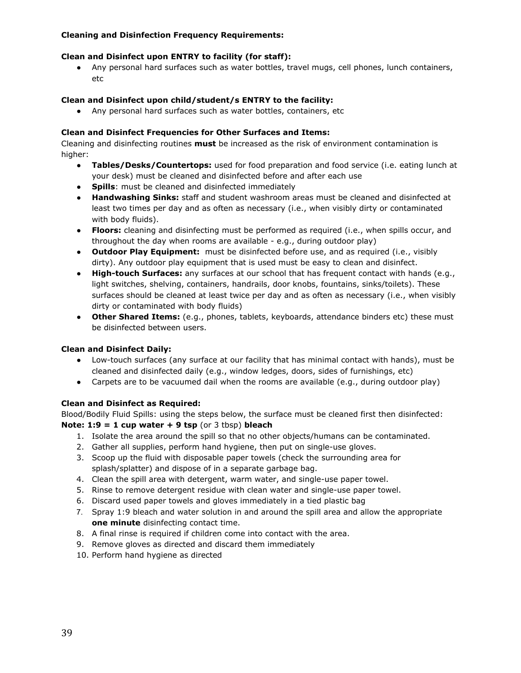## **Cleaning and Disinfection Frequency Requirements:**

## **Clean and Disinfect upon ENTRY to facility (for staff):**

● Any personal hard surfaces such as water bottles, travel mugs, cell phones, lunch containers, etc

## **Clean and Disinfect upon child/student/s ENTRY to the facility:**

● Any personal hard surfaces such as water bottles, containers, etc

#### **Clean and Disinfect Frequencies for Other Surfaces and Items:**

Cleaning and disinfecting routines **must** be increased as the risk of environment contamination is higher:

- **● Tables/Desks/Countertops:** used for food preparation and food service (i.e. eating lunch at your desk) must be cleaned and disinfected before and after each use
- **● Spills**: must be cleaned and disinfected immediately
- **● Handwashing Sinks:** staff and student washroom areas must be cleaned and disinfected at least two times per day and as often as necessary (i.e., when visibly dirty or contaminated with body fluids).
- **● Floors:** cleaning and disinfecting must be performed as required (i.e., when spills occur, and throughout the day when rooms are available - e.g., during outdoor play)
- **● Outdoor Play Equipment:** must be disinfected before use, and as required (i.e., visibly dirty). Any outdoor play equipment that is used must be easy to clean and disinfect.
- **● High-touch Surfaces:** any surfaces at our school that has frequent contact with hands (e.g., light switches, shelving, containers, handrails, door knobs, fountains, sinks/toilets). These surfaces should be cleaned at least twice per day and as often as necessary (i.e., when visibly dirty or contaminated with body fluids)
- **● Other Shared Items:** (e.g., phones, tablets, keyboards, attendance binders etc) these must be disinfected between users.

#### **Clean and Disinfect Daily:**

- Low-touch surfaces (any surface at our facility that has minimal contact with hands), must be cleaned and disinfected daily (e.g., window ledges, doors, sides of furnishings, etc)
- Carpets are to be vacuumed dail when the rooms are available (e.g., during outdoor play)

#### **Clean and Disinfect as Required:**

Blood/Bodily Fluid Spills: using the steps below, the surface must be cleaned first then disinfected: **Note: 1:9 = 1 cup water + 9 tsp** (or 3 tbsp) **bleach**

- 1. Isolate the area around the spill so that no other objects/humans can be contaminated.
- 2. Gather all supplies, perform hand hygiene, then put on single-use gloves.
- 3. Scoop up the fluid with disposable paper towels (check the surrounding area for splash/splatter) and dispose of in a separate garbage bag.
- 4. Clean the spill area with detergent, warm water, and single-use paper towel.
- 5. Rinse to remove detergent residue with clean water and single-use paper towel.
- 6. Discard used paper towels and gloves immediately in a tied plastic bag
- 7. Spray 1:9 bleach and water solution in and around the spill area and allow the appropriate **one minute** disinfecting contact time.
- 8. A final rinse is required if children come into contact with the area.
- 9. Remove gloves as directed and discard them immediately
- 10. Perform hand hygiene as directed